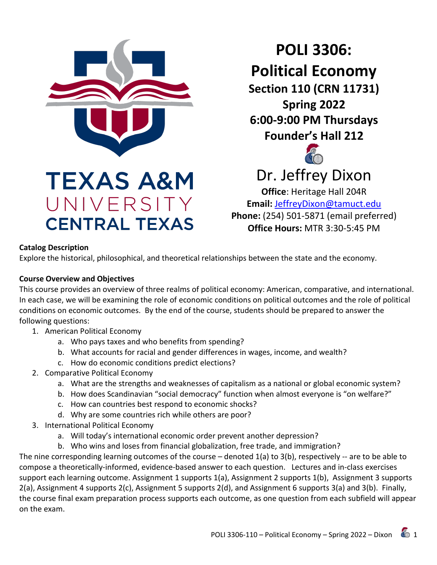

**CENTRAL TEXAS** 

**POLI 3306: Political Economy Section 110 (CRN 11731) Spring 2022 6:00-9:00 PM Thursdays Founder's Hall 212**



# Dr. Jeffrey Dixon

**Office**: Heritage Hall 204R **Email:** [JeffreyDixon@tamuct.edu](mailto:JeffreyDixon@tamuct.edu) **Phone:** (254) 501-5871 (email preferred) **Office Hours:** MTR 3:30-5:45 PM

#### **Catalog Description**

Explore the historical, philosophical, and theoretical relationships between the state and the economy.

#### **Course Overview and Objectives**

This course provides an overview of three realms of political economy: American, comparative, and international. In each case, we will be examining the role of economic conditions on political outcomes and the role of political conditions on economic outcomes. By the end of the course, students should be prepared to answer the following questions:

- 1. American Political Economy
	- a. Who pays taxes and who benefits from spending?
	- b. What accounts for racial and gender differences in wages, income, and wealth?
	- c. How do economic conditions predict elections?
- 2. Comparative Political Economy
	- a. What are the strengths and weaknesses of capitalism as a national or global economic system?
	- b. How does Scandinavian "social democracy" function when almost everyone is "on welfare?"
	- c. How can countries best respond to economic shocks?
	- d. Why are some countries rich while others are poor?
- 3. International Political Economy
	- a. Will today's international economic order prevent another depression?
	- b. Who wins and loses from financial globalization, free trade, and immigration?

The nine corresponding learning outcomes of the course – denoted 1(a) to 3(b), respectively -- are to be able to compose a theoretically-informed, evidence-based answer to each question. Lectures and in-class exercises support each learning outcome. Assignment 1 supports 1(a), Assignment 2 supports 1(b), Assignment 3 supports 2(a), Assignment 4 supports 2(c), Assignment 5 supports 2(d), and Assignment 6 supports 3(a) and 3(b). Finally, the course final exam preparation process supports each outcome, as one question from each subfield will appear on the exam.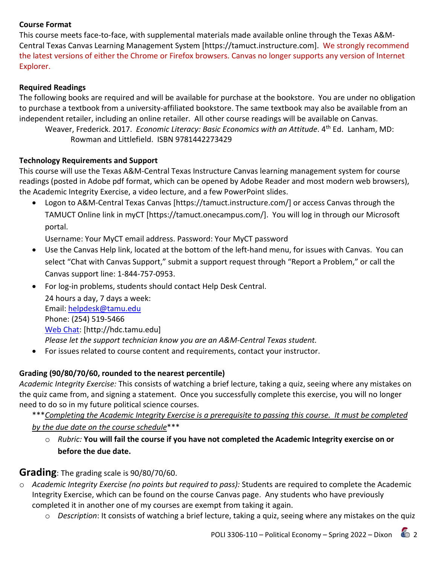#### **Course Format**

This course meets face-to-face, with supplemental materials made available online through the Texas A&M-Central Texas Canvas Learning Management System [https://tamuct.instructure.com]. We strongly recommend the latest versions of either the Chrome or Firefox browsers. Canvas no longer supports any version of Internet Explorer.

#### **Required Readings**

The following books are required and will be available for purchase at the bookstore. You are under no obligation to purchase a textbook from a university-affiliated bookstore. The same textbook may also be available from an independent retailer, including an online retailer. All other course readings will be available on Canvas.

Weaver, Frederick. 2017. *Economic Literacy: Basic Economics with an Attitude*. 4th Ed. Lanham, MD: Rowman and Littlefield. ISBN 9781442273429

#### **Technology Requirements and Support**

This course will use the Texas A&M-Central Texas Instructure Canvas learning management system for course readings (posted in Adobe pdf format, which can be opened by Adobe Reader and most modern web browsers), the Academic Integrity Exercise, a video lecture, and a few PowerPoint slides.

• Logon to A&M-Central Texas Canvas [https://tamuct.instructure.com/] or access Canvas through the TAMUCT Online link in myCT [https://tamuct.onecampus.com/]. You will log in through our Microsoft portal.

Username: Your MyCT email address. Password: Your MyCT password

- Use the Canvas Help link, located at the bottom of the left-hand menu, for issues with Canvas. You can select "Chat with Canvas Support," submit a support request through "Report a Problem," or call the Canvas support line: 1-844-757-0953.
- For log-in problems, students should contact Help Desk Central.

24 hours a day, 7 days a week: Email: [helpdesk@tamu.edu](mailto:helpdesk@tamu.edu) Phone: (254) 519-5466 [Web Chat:](http://hdc.tamu.edu/) [http://hdc.tamu.edu] *Please let the support technician know you are an A&M-Central Texas student.*

• For issues related to course content and requirements, contact your instructor.

#### **Grading (90/80/70/60, rounded to the nearest percentile)**

*Academic Integrity Exercise:* This consists of watching a brief lecture, taking a quiz, seeing where any mistakes on the quiz came from, and signing a statement. Once you successfully complete this exercise, you will no longer need to do so in my future political science courses.

- \*\*\**Completing the Academic Integrity Exercise is a prerequisite to passing this course. It must be completed by the due date on the course schedule*\*\*\*
	- o *Rubric:* **You will fail the course if you have not completed the Academic Integrity exercise on or before the due date.**

#### **Grading**: The grading scale is 90/80/70/60.

- o *Academic Integrity Exercise (no points but required to pass):* Students are required to complete the Academic Integrity Exercise, which can be found on the course Canvas page. Any students who have previously completed it in another one of my courses are exempt from taking it again.
	- o *Description*: It consists of watching a brief lecture, taking a quiz, seeing where any mistakes on the quiz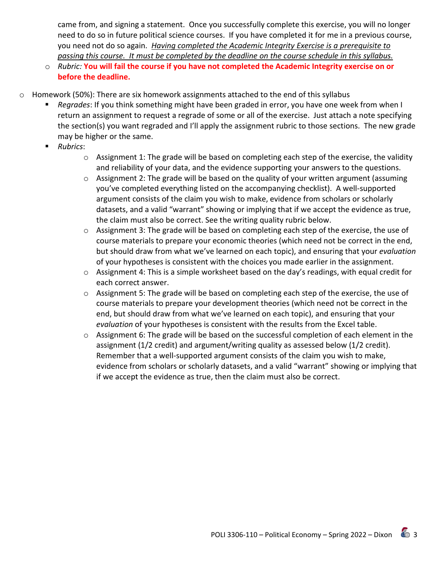came from, and signing a statement. Once you successfully complete this exercise, you will no longer need to do so in future political science courses. If you have completed it for me in a previous course, you need not do so again. *Having completed the Academic Integrity Exercise is a prerequisite to passing this course. It must be completed by the deadline on the course schedule in this syllabus.*

- o *Rubric:* **You will fail the course if you have not completed the Academic Integrity exercise on or before the deadline.**
- $\circ$  Homework (50%): There are six homework assignments attached to the end of this syllabus
	- *Regrades*: If you think something might have been graded in error, you have one week from when I return an assignment to request a regrade of some or all of the exercise. Just attach a note specifying the section(s) you want regraded and I'll apply the assignment rubric to those sections. The new grade may be higher or the same.
	- *Rubrics*:
		- $\circ$  Assignment 1: The grade will be based on completing each step of the exercise, the validity and reliability of your data, and the evidence supporting your answers to the questions.
		- o Assignment 2: The grade will be based on the quality of your written argument (assuming you've completed everything listed on the accompanying checklist). A well-supported argument consists of the claim you wish to make, evidence from scholars or scholarly datasets, and a valid "warrant" showing or implying that if we accept the evidence as true, the claim must also be correct. See the writing quality rubric below.
		- o Assignment 3: The grade will be based on completing each step of the exercise, the use of course materials to prepare your economic theories (which need not be correct in the end, but should draw from what we've learned on each topic), and ensuring that your *evaluation* of your hypotheses is consistent with the choices you made earlier in the assignment.
		- $\circ$  Assignment 4: This is a simple worksheet based on the day's readings, with equal credit for each correct answer.
		- $\circ$  Assignment 5: The grade will be based on completing each step of the exercise, the use of course materials to prepare your development theories (which need not be correct in the end, but should draw from what we've learned on each topic), and ensuring that your *evaluation* of your hypotheses is consistent with the results from the Excel table.
		- $\circ$  Assignment 6: The grade will be based on the successful completion of each element in the assignment (1/2 credit) and argument/writing quality as assessed below (1/2 credit). Remember that a well-supported argument consists of the claim you wish to make, evidence from scholars or scholarly datasets, and a valid "warrant" showing or implying that if we accept the evidence as true, then the claim must also be correct.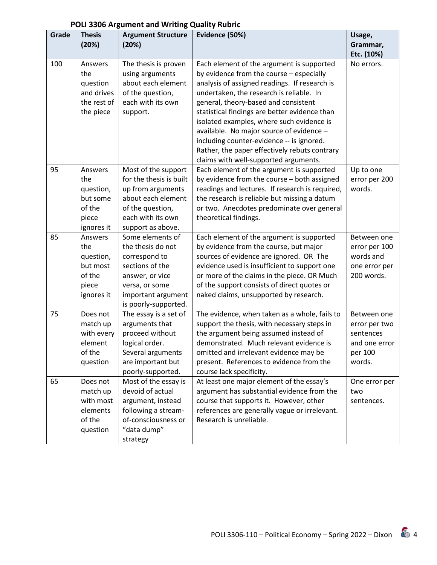| Grade | <b>Thesis</b><br>(20%)                                                   | <b>Argument Structure</b><br>(20%)                                                                                                                           | Evidence (50%)                                                                                                                                                                                                                                                                                                                                                                                                                                                                                              |                                                                                 |  |  |
|-------|--------------------------------------------------------------------------|--------------------------------------------------------------------------------------------------------------------------------------------------------------|-------------------------------------------------------------------------------------------------------------------------------------------------------------------------------------------------------------------------------------------------------------------------------------------------------------------------------------------------------------------------------------------------------------------------------------------------------------------------------------------------------------|---------------------------------------------------------------------------------|--|--|
|       |                                                                          |                                                                                                                                                              |                                                                                                                                                                                                                                                                                                                                                                                                                                                                                                             | Grammar,<br>Etc. (10%)                                                          |  |  |
| 100   | Answers<br>the<br>question<br>and drives<br>the rest of<br>the piece     | The thesis is proven<br>using arguments<br>about each element<br>of the question,<br>each with its own<br>support.                                           | Each element of the argument is supported<br>by evidence from the course - especially<br>analysis of assigned readings. If research is<br>undertaken, the research is reliable. In<br>general, theory-based and consistent<br>statistical findings are better evidence than<br>isolated examples, where such evidence is<br>available. No major source of evidence -<br>including counter-evidence -- is ignored.<br>Rather, the paper effectively rebuts contrary<br>claims with well-supported arguments. | No errors.                                                                      |  |  |
| 95    | Answers<br>the<br>question,<br>but some<br>of the<br>piece<br>ignores it | Most of the support<br>for the thesis is built<br>up from arguments<br>about each element<br>of the question,<br>each with its own<br>support as above.      | Each element of the argument is supported<br>by evidence from the course - both assigned<br>readings and lectures. If research is required,<br>the research is reliable but missing a datum<br>or two. Anecdotes predominate over general<br>theoretical findings.                                                                                                                                                                                                                                          | Up to one<br>error per 200<br>words.                                            |  |  |
| 85    | Answers<br>the<br>question,<br>but most<br>of the<br>piece<br>ignores it | Some elements of<br>the thesis do not<br>correspond to<br>sections of the<br>answer, or vice<br>versa, or some<br>important argument<br>is poorly-supported. | Each element of the argument is supported<br>by evidence from the course, but major<br>sources of evidence are ignored. OR The<br>evidence used is insufficient to support one<br>or more of the claims in the piece. OR Much<br>of the support consists of direct quotes or<br>naked claims, unsupported by research.                                                                                                                                                                                      | Between one<br>error per 100<br>words and<br>one error per<br>200 words.        |  |  |
| 75    | Does not<br>match up<br>with every<br>element<br>of the<br>question      | The essay is a set of<br>arguments that<br>proceed without<br>logical order.<br>Several arguments<br>are important but<br>poorly-supported.                  | The evidence, when taken as a whole, fails to<br>support the thesis, with necessary steps in<br>the argument being assumed instead of<br>demonstrated. Much relevant evidence is<br>omitted and irrelevant evidence may be<br>present. References to evidence from the<br>course lack specificity.                                                                                                                                                                                                          | Between one<br>error per two<br>sentences<br>and one error<br>per 100<br>words. |  |  |
| 65    | Does not<br>match up<br>with most<br>elements<br>of the<br>question      | Most of the essay is<br>devoid of actual<br>argument, instead<br>following a stream-<br>of-consciousness or<br>"data dump"<br>strategy                       | At least one major element of the essay's<br>argument has substantial evidence from the<br>course that supports it. However, other<br>references are generally vague or irrelevant.<br>Research is unreliable.                                                                                                                                                                                                                                                                                              | One error per<br>two<br>sentences.                                              |  |  |

# **POLI 3306 Argument and Writing Quality Rubric**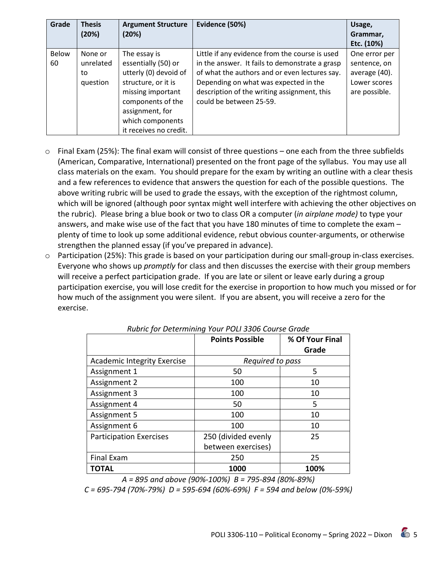| Grade | <b>Thesis</b> | <b>Argument Structure</b> | Evidence (50%)                                 | Usage,        |
|-------|---------------|---------------------------|------------------------------------------------|---------------|
|       | (20%)         | (20%)                     |                                                | Grammar,      |
|       |               |                           |                                                | Etc. (10%)    |
| Below | None or       | The essay is              | Little if any evidence from the course is used | One error per |
| 60    | unrelated     | essentially (50) or       | in the answer. It fails to demonstrate a grasp | sentence, on  |
|       | to            | utterly (0) devoid of     | of what the authors and or even lectures say.  | average (40). |
|       | question      | structure, or it is       | Depending on what was expected in the          | Lower scores  |
|       |               | missing important         | description of the writing assignment, this    | are possible. |
|       |               | components of the         | could be between 25-59.                        |               |
|       |               | assignment, for           |                                                |               |
|       |               | which components          |                                                |               |
|       |               | it receives no credit.    |                                                |               |

- $\circ$  Final Exam (25%): The final exam will consist of three questions one each from the three subfields (American, Comparative, International) presented on the front page of the syllabus. You may use all class materials on the exam. You should prepare for the exam by writing an outline with a clear thesis and a few references to evidence that answers the question for each of the possible questions. The above writing rubric will be used to grade the essays, with the exception of the rightmost column, which will be ignored (although poor syntax might well interfere with achieving the other objectives on the rubric). Please bring a blue book or two to class OR a computer (*in airplane mode)* to type your answers, and make wise use of the fact that you have 180 minutes of time to complete the exam – plenty of time to look up some additional evidence, rebut obvious counter-arguments, or otherwise strengthen the planned essay (if you've prepared in advance).
- o Participation (25%): This grade is based on your participation during our small-group in-class exercises. Everyone who shows up *promptly* for class and then discusses the exercise with their group members will receive a perfect participation grade. If you are late or silent or leave early during a group participation exercise, you will lose credit for the exercise in proportion to how much you missed or for how much of the assignment you were silent. If you are absent, you will receive a zero for the exercise.

|                                    | <b>Points Possible</b> | % Of Your Final<br>Grade |
|------------------------------------|------------------------|--------------------------|
| <b>Academic Integrity Exercise</b> | Required to pass       |                          |
| Assignment 1                       | 50                     | 5                        |
| Assignment 2                       | 100                    | 10                       |
| Assignment 3                       | 100                    | 10                       |
| Assignment 4                       | 50                     | 5                        |
| Assignment 5                       | 100                    | 10                       |
| Assignment 6                       | 100                    | 10                       |
| <b>Participation Exercises</b>     | 250 (divided evenly    | 25                       |
|                                    | between exercises)     |                          |
| <b>Final Exam</b>                  | 250                    | 25                       |
| <b>TOTAL</b>                       | 1000                   | 100%                     |

*Rubric for Determining Your POLI 3306 Course Grade*

*A = 895 and above (90%-100%) B = 795-894 (80%-89%)*

*C = 695-794 (70%-79%) D = 595-694 (60%-69%) F = 594 and below (0%-59%)*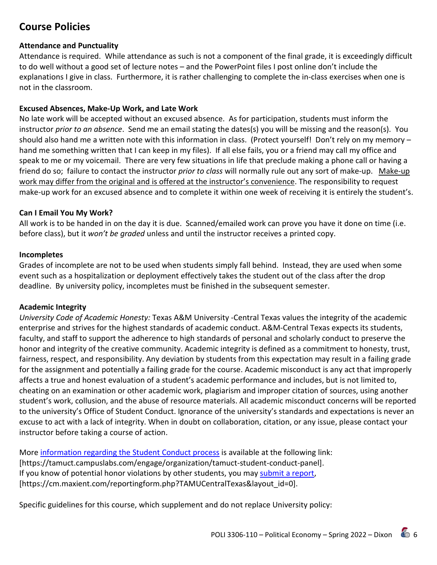# **Course Policies**

#### **Attendance and Punctuality**

Attendance is required. While attendance as such is not a component of the final grade, it is exceedingly difficult to do well without a good set of lecture notes – and the PowerPoint files I post online don't include the explanations I give in class. Furthermore, it is rather challenging to complete the in-class exercises when one is not in the classroom.

#### **Excused Absences, Make-Up Work, and Late Work**

No late work will be accepted without an excused absence. As for participation, students must inform the instructor *prior to an absence*. Send me an email stating the dates(s) you will be missing and the reason(s). You should also hand me a written note with this information in class. (Protect yourself! Don't rely on my memory – hand me something written that I can keep in my files). If all else fails, you or a friend may call my office and speak to me or my voicemail. There are very few situations in life that preclude making a phone call or having a friend do so; failure to contact the instructor *prior to class* will normally rule out any sort of make-up. Make-up work may differ from the original and is offered at the instructor's convenience. The responsibility to request make-up work for an excused absence and to complete it within one week of receiving it is entirely the student's.

#### **Can I Email You My Work?**

All work is to be handed in on the day it is due. Scanned/emailed work can prove you have it done on time (i.e. before class), but it *won't be graded* unless and until the instructor receives a printed copy.

#### **Incompletes**

Grades of incomplete are not to be used when students simply fall behind. Instead, they are used when some event such as a hospitalization or deployment effectively takes the student out of the class after the drop deadline. By university policy, incompletes must be finished in the subsequent semester.

#### **Academic Integrity**

*University Code of Academic Honesty:* Texas A&M University -Central Texas values the integrity of the academic enterprise and strives for the highest standards of academic conduct. A&M-Central Texas expects its students, faculty, and staff to support the adherence to high standards of personal and scholarly conduct to preserve the honor and integrity of the creative community. Academic integrity is defined as a commitment to honesty, trust, fairness, respect, and responsibility. Any deviation by students from this expectation may result in a failing grade for the assignment and potentially a failing grade for the course. Academic misconduct is any act that improperly affects a true and honest evaluation of a student's academic performance and includes, but is not limited to, cheating on an examination or other academic work, plagiarism and improper citation of sources, using another student's work, collusion, and the abuse of resource materials. All academic misconduct concerns will be reported to the university's Office of Student Conduct. Ignorance of the university's standards and expectations is never an excuse to act with a lack of integrity. When in doubt on collaboration, citation, or any issue, please contact your instructor before taking a course of action.

More [information regarding the Student Conduct process](https://tamuct.campuslabs.com/engage/organization/tamuct-student-conduct-pane) is available at the following link: [https://tamuct.campuslabs.com/engage/organization/tamuct-student-conduct-panel]. If you know of potential honor violations by other students, you may [submit a report,](https://cm.maxient.com/reportingform.php?TAMUCentralTexas&layout_id=0) [https://cm.maxient.com/reportingform.php?TAMUCentralTexas&layout\_id=0].

Specific guidelines for this course, which supplement and do not replace University policy: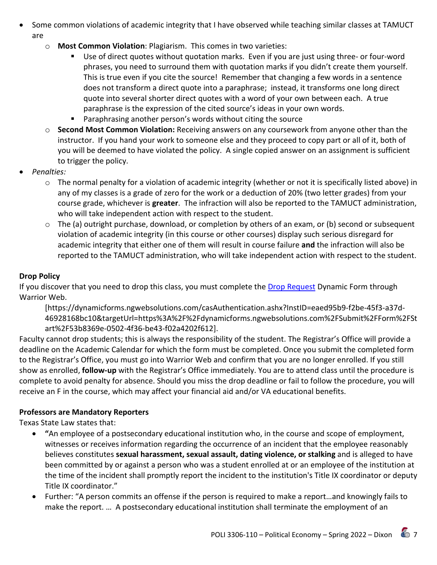- Some common violations of academic integrity that I have observed while teaching similar classes at TAMUCT are
	- o **Most Common Violation**: Plagiarism. This comes in two varieties:
		- Use of direct quotes without quotation marks. Even if you are just using three- or four-word phrases, you need to surround them with quotation marks if you didn't create them yourself. This is true even if you cite the source! Remember that changing a few words in a sentence does not transform a direct quote into a paraphrase; instead, it transforms one long direct quote into several shorter direct quotes with a word of your own between each. A true paraphrase is the expression of the cited source's ideas in your own words.
		- **Paraphrasing another person's words without citing the source**
	- o **Second Most Common Violation:** Receiving answers on any coursework from anyone other than the instructor. If you hand your work to someone else and they proceed to copy part or all of it, both of you will be deemed to have violated the policy. A single copied answer on an assignment is sufficient to trigger the policy.
- *Penalties:* 
	- $\circ$  The normal penalty for a violation of academic integrity (whether or not it is specifically listed above) in any of my classes is a grade of zero for the work or a deduction of 20% (two letter grades) from your course grade, whichever is **greater**. The infraction will also be reported to the TAMUCT administration, who will take independent action with respect to the student.
	- o The (a) outright purchase, download, or completion by others of an exam, or (b) second or subsequent violation of academic integrity (in this course or other courses) display such serious disregard for academic integrity that either one of them will result in course failure **and** the infraction will also be reported to the TAMUCT administration, who will take independent action with respect to the student.

# **Drop Policy**

If you discover that you need to drop this class, you must complete the [Drop Request](https://dynamicforms.ngwebsolutions.com/casAuthentication.ashx?InstID=eaed95b9-f2be-45f3-a37d-46928168bc10&targetUrl=https%3A%2F%2Fdynamicforms.ngwebsolutions.com%2FSubmit%2FForm%2FStart%2F53b8369e-0502-4f36-be43-f02a4202f612) Dynamic Form through Warrior Web.

[https://dynamicforms.ngwebsolutions.com/casAuthentication.ashx?InstID=eaed95b9-f2be-45f3-a37d-46928168bc10&targetUrl=https%3A%2F%2Fdynamicforms.ngwebsolutions.com%2FSubmit%2FForm%2FSt art%2F53b8369e-0502-4f36-be43-f02a4202f612].

Faculty cannot drop students; this is always the responsibility of the student. The Registrar's Office will provide a deadline on the Academic Calendar for which the form must be completed. Once you submit the completed form to the Registrar's Office, you must go into Warrior Web and confirm that you are no longer enrolled. If you still show as enrolled, **follow-up** with the Registrar's Office immediately. You are to attend class until the procedure is complete to avoid penalty for absence. Should you miss the drop deadline or fail to follow the procedure, you will receive an F in the course, which may affect your financial aid and/or VA educational benefits.

# **Professors are Mandatory Reporters**

Texas State Law states that:

- **"**An employee of a postsecondary educational institution who, in the course and scope of employment, witnesses or receives information regarding the occurrence of an incident that the employee reasonably believes constitutes **sexual harassment, sexual assault, dating violence, or stalking** and is alleged to have been committed by or against a person who was a student enrolled at or an employee of the institution at the time of the incident shall promptly report the incident to the institution's Title IX coordinator or deputy Title IX coordinator."
- Further: "A person commits an offense if the person is required to make a report…and knowingly fails to make the report. … A postsecondary educational institution shall terminate the employment of an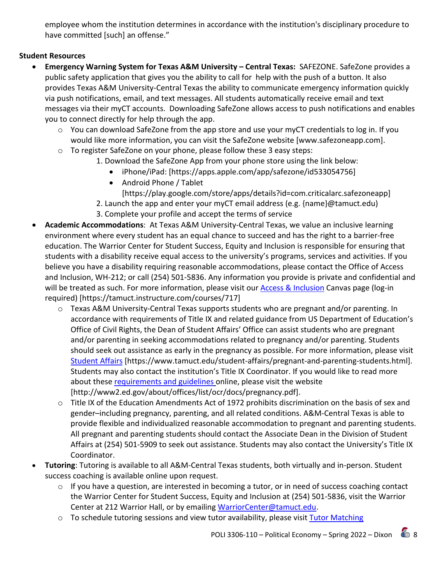employee whom the institution determines in accordance with the institution's disciplinary procedure to have committed [such] an offense."

## **Student Resources**

- **Emergency Warning System for Texas A&M University – Central Texas:** SAFEZONE. SafeZone provides a public safety application that gives you the ability to call for help with the push of a button. It also provides Texas A&M University-Central Texas the ability to communicate emergency information quickly via push notifications, email, and text messages. All students automatically receive email and text messages via their myCT accounts. Downloading SafeZone allows access to push notifications and enables you to connect directly for help through the app.
	- o You can download SafeZone from the app store and use your myCT credentials to log in. If you would like more information, you can visit the SafeZone website [www.safezoneapp.com].
	- o To register SafeZone on your phone, please follow these 3 easy steps:
		- 1. Download the SafeZone App from your phone store using the link below:
			- iPhone/iPad: [https://apps.apple.com/app/safezone/id533054756]
			- Android Phone / Tablet
				- [https://play.google.com/store/apps/details?id=com.criticalarc.safezoneapp]
		- 2. Launch the app and enter your myCT email address (e.g. {name}@tamuct.edu)
		- 3. Complete your profile and accept the terms of service
- **Academic Accommodations**: At Texas A&M University-Central Texas, we value an inclusive learning environment where every student has an equal chance to succeed and has the right to a barrier-free education. The Warrior Center for Student Success, Equity and Inclusion is responsible for ensuring that students with a disability receive equal access to the university's programs, services and activities. If you believe you have a disability requiring reasonable accommodations, please contact the Office of Access and Inclusion, WH-212; or call (254) 501-5836. Any information you provide is private and confidential and will be treated as such. For more information, please visit our [Access & Inclusion](https://tamuct.instructure.com/courses/717) Canvas page (log-in required) [https://tamuct.instructure.com/courses/717]
	- o Texas A&M University-Central Texas supports students who are pregnant and/or parenting. In accordance with requirements of Title IX and related guidance from US Department of Education's Office of Civil Rights, the Dean of Student Affairs' Office can assist students who are pregnant and/or parenting in seeking accommodations related to pregnancy and/or parenting. Students should seek out assistance as early in the pregnancy as possible. For more information, please visit [Student Affairs](https://www.tamuct.edu/student-affairs/pregnant-and-parenting-students.html) [https://www.tamuct.edu/student-affairs/pregnant-and-parenting-students.html]. Students may also contact the institution's Title IX Coordinator. If you would like to read more about these [requirements and guidelines](http://www2.ed.gov/about/offices/list/ocr/docs/pregnancy.pdf) online, please visit the website [http://www2.ed.gov/about/offices/list/ocr/docs/pregnancy.pdf].
	- $\circ$  Title IX of the Education Amendments Act of 1972 prohibits discrimination on the basis of sex and gender–including pregnancy, parenting, and all related conditions. A&M-Central Texas is able to provide flexible and individualized reasonable accommodation to pregnant and parenting students. All pregnant and parenting students should contact the Associate Dean in the Division of Student Affairs at (254) 501-5909 to seek out assistance. Students may also contact the University's Title IX Coordinator.
- **Tutoring**: Tutoring is available to all A&M-Central Texas students, both virtually and in-person. Student success coaching is available online upon request.
	- o If you have a question, are interested in becoming a tutor, or in need of success coaching contact the Warrior Center for Student Success, Equity and Inclusion at (254) 501-5836, visit the Warrior Center at 212 Warrior Hall, or by emailing [WarriorCenter@tamuct.edu.](mailto:WarriorCenter@tamuct.edu)
	- o To schedule tutoring sessions and view tutor availability, please visit Tutor Matching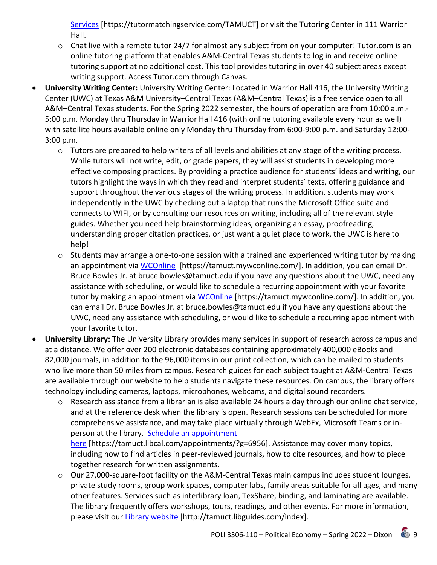[Services](https://nam04.safelinks.protection.outlook.com/?url=http%3A%2F%2Fwww.tutormatchingservices.com%2FTAMUCT&data=04%7C01%7Clisa.bunkowski%40tamuct.edu%7C886784139069461670c308d9aa01f55e%7C9eed4e3000f744849ff193ad8005acec%7C0%7C0%7C637727747643427346%7CUnknown%7CTWFpbGZsb3d8eyJWIjoiMC4wLjAwMDAiLCJQIjoiV2luMzIiLCJBTiI6Ik1haWwiLCJXVCI6Mn0%3D%7C3000&sdata=D%2F8HN2bUT1lLPfs5qSqKYlwh8a7pZVy7isM2gppluQE%3D&reserved=0) [https://tutormatchingservice.com/TAMUCT] or visit the Tutoring Center in 111 Warrior Hall.

- $\circ$  Chat live with a remote tutor 24/7 for almost any subject from on your computer! Tutor.com is an online tutoring platform that enables A&M-Central Texas students to log in and receive online tutoring support at no additional cost. This tool provides tutoring in over 40 subject areas except writing support. Access Tutor.com through Canvas.
- **University Writing Center:** University Writing Center: Located in Warrior Hall 416, the University Writing Center (UWC) at Texas A&M University–Central Texas (A&M–Central Texas) is a free service open to all A&M–Central Texas students. For the Spring 2022 semester, the hours of operation are from 10:00 a.m.- 5:00 p.m. Monday thru Thursday in Warrior Hall 416 (with online tutoring available every hour as well) with satellite hours available online only Monday thru Thursday from 6:00-9:00 p.m. and Saturday 12:00- 3:00 p.m.
	- $\circ$  Tutors are prepared to help writers of all levels and abilities at any stage of the writing process. While tutors will not write, edit, or grade papers, they will assist students in developing more effective composing practices. By providing a practice audience for students' ideas and writing, our tutors highlight the ways in which they read and interpret students' texts, offering guidance and support throughout the various stages of the writing process. In addition, students may work independently in the UWC by checking out a laptop that runs the Microsoft Office suite and connects to WIFI, or by consulting our resources on writing, including all of the relevant style guides. Whether you need help brainstorming ideas, organizing an essay, proofreading, understanding proper citation practices, or just want a quiet place to work, the UWC is here to help!
	- o Students may arrange a one-to-one session with a trained and experienced writing tutor by making an appointment via [WCOnline](https://tamuct.mywconline.com/) [https://tamuct.mywconline.com/]. In addition, you can email Dr. Bruce Bowles Jr. at bruce.bowles@tamuct.edu if you have any questions about the UWC, need any assistance with scheduling, or would like to schedule a recurring appointment with your favorite tutor by making an appointment via [WCOnline](https://tamuct.mywconline.com/) [https://tamuct.mywconline.com/]. In addition, you can email Dr. Bruce Bowles Jr. at bruce.bowles@tamuct.edu if you have any questions about the UWC, need any assistance with scheduling, or would like to schedule a recurring appointment with your favorite tutor.
- **University Library:** The University Library provides many services in support of research across campus and at a distance. We offer over 200 electronic databases containing approximately 400,000 eBooks and 82,000 journals, in addition to the 96,000 items in our print collection, which can be mailed to students who live more than 50 miles from campus. Research guides for each subject taught at A&M-Central Texas are available through our website to help students navigate these resources. On campus, the library offers technology including cameras, laptops, microphones, webcams, and digital sound recorders.
	- $\circ$  Research assistance from a librarian is also available 24 hours a day through our online chat service, and at the reference desk when the library is open. Research sessions can be scheduled for more comprehensive assistance, and may take place virtually through WebEx, Microsoft Teams or inperson at the library. [Schedule an appointment](https://nam04.safelinks.protection.outlook.com/?url=https%3A%2F%2Ftamuct.libcal.com%2Fappointments%2F%3Fg%3D6956&data=04%7C01%7Clisa.bunkowski%40tamuct.edu%7Cde2c07d9f5804f09518008d9ab7ba6ff%7C9eed4e3000f744849ff193ad8005acec%7C0%7C0%7C637729369835011558%7CUnknown%7CTWFpbGZsb3d8eyJWIjoiMC4wLjAwMDAiLCJQIjoiV2luMzIiLCJBTiI6Ik1haWwiLCJXVCI6Mn0%3D%7C3000&sdata=KhtjgRSAw9aq%2FoBsB6wyu8b7PSuGN5EGPypzr3Ty2No%3D&reserved=0)  [here](https://nam04.safelinks.protection.outlook.com/?url=https%3A%2F%2Ftamuct.libcal.com%2Fappointments%2F%3Fg%3D6956&data=04%7C01%7Clisa.bunkowski%40tamuct.edu%7Cde2c07d9f5804f09518008d9ab7ba6ff%7C9eed4e3000f744849ff193ad8005acec%7C0%7C0%7C637729369835011558%7CUnknown%7CTWFpbGZsb3d8eyJWIjoiMC4wLjAwMDAiLCJQIjoiV2luMzIiLCJBTiI6Ik1haWwiLCJXVCI6Mn0%3D%7C3000&sdata=KhtjgRSAw9aq%2FoBsB6wyu8b7PSuGN5EGPypzr3Ty2No%3D&reserved=0) [https://tamuct.libcal.com/appointments/?g=6956]. Assistance may cover many topics, including how to find articles in peer-reviewed journals, how to cite resources, and how to piece together research for written assignments.
	- $\circ$  Our 27,000-square-foot facility on the A&M-Central Texas main campus includes student lounges, private study rooms, group work spaces, computer labs, family areas suitable for all ages, and many other features. Services such as interlibrary loan, TexShare, binding, and laminating are available. The library frequently offers workshops, tours, readings, and other events. For more information, please visit our [Library website](https://nam04.safelinks.protection.outlook.com/?url=https%3A%2F%2Ftamuct.libguides.com%2Findex&data=04%7C01%7Clisa.bunkowski%40tamuct.edu%7C7d8489e8839a4915335f08d916f067f2%7C9eed4e3000f744849ff193ad8005acec%7C0%7C0%7C637566044056484222%7CUnknown%7CTWFpbGZsb3d8eyJWIjoiMC4wLjAwMDAiLCJQIjoiV2luMzIiLCJBTiI6Ik1haWwiLCJXVCI6Mn0%3D%7C1000&sdata=2R755V6rcIyedGrd4Os5rkgn1PvhHKU3kUV1vBKiHFo%3D&reserved=0) [http://tamuct.libguides.com/index].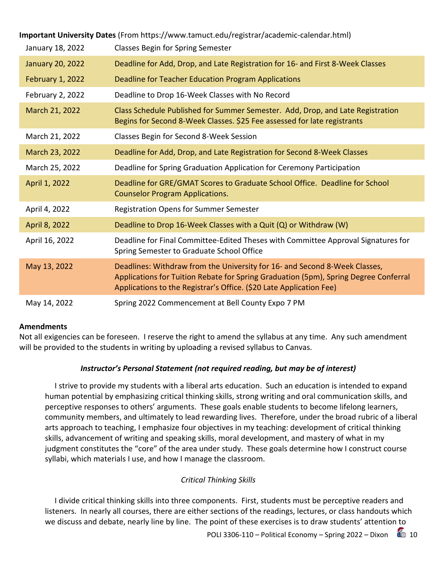| Important University Dates (From https://www.tamuct.edu/registrar/academic-calendar.html) |                                                                                                                                                                                                                                           |  |  |  |  |  |  |  |  |
|-------------------------------------------------------------------------------------------|-------------------------------------------------------------------------------------------------------------------------------------------------------------------------------------------------------------------------------------------|--|--|--|--|--|--|--|--|
| January 18, 2022                                                                          | <b>Classes Begin for Spring Semester</b>                                                                                                                                                                                                  |  |  |  |  |  |  |  |  |
| <b>January 20, 2022</b>                                                                   | Deadline for Add, Drop, and Late Registration for 16- and First 8-Week Classes                                                                                                                                                            |  |  |  |  |  |  |  |  |
| February 1, 2022                                                                          | Deadline for Teacher Education Program Applications                                                                                                                                                                                       |  |  |  |  |  |  |  |  |
| February 2, 2022                                                                          | Deadline to Drop 16-Week Classes with No Record                                                                                                                                                                                           |  |  |  |  |  |  |  |  |
| March 21, 2022                                                                            | Class Schedule Published for Summer Semester. Add, Drop, and Late Registration<br>Begins for Second 8-Week Classes. \$25 Fee assessed for late registrants                                                                                |  |  |  |  |  |  |  |  |
| March 21, 2022                                                                            | Classes Begin for Second 8-Week Session                                                                                                                                                                                                   |  |  |  |  |  |  |  |  |
| March 23, 2022                                                                            | Deadline for Add, Drop, and Late Registration for Second 8-Week Classes                                                                                                                                                                   |  |  |  |  |  |  |  |  |
| March 25, 2022                                                                            | Deadline for Spring Graduation Application for Ceremony Participation                                                                                                                                                                     |  |  |  |  |  |  |  |  |
| April 1, 2022                                                                             | Deadline for GRE/GMAT Scores to Graduate School Office. Deadline for School<br><b>Counselor Program Applications.</b>                                                                                                                     |  |  |  |  |  |  |  |  |
| April 4, 2022                                                                             | Registration Opens for Summer Semester                                                                                                                                                                                                    |  |  |  |  |  |  |  |  |
| April 8, 2022                                                                             | Deadline to Drop 16-Week Classes with a Quit (Q) or Withdraw (W)                                                                                                                                                                          |  |  |  |  |  |  |  |  |
| April 16, 2022                                                                            | Deadline for Final Committee-Edited Theses with Committee Approval Signatures for<br>Spring Semester to Graduate School Office                                                                                                            |  |  |  |  |  |  |  |  |
| May 13, 2022                                                                              | Deadlines: Withdraw from the University for 16- and Second 8-Week Classes,<br>Applications for Tuition Rebate for Spring Graduation (5pm), Spring Degree Conferral<br>Applications to the Registrar's Office. (\$20 Late Application Fee) |  |  |  |  |  |  |  |  |
| May 14, 2022                                                                              | Spring 2022 Commencement at Bell County Expo 7 PM                                                                                                                                                                                         |  |  |  |  |  |  |  |  |

#### **Amendments**

Not all exigencies can be foreseen. I reserve the right to amend the syllabus at any time. Any such amendment will be provided to the students in writing by uploading a revised syllabus to Canvas.

#### *Instructor's Personal Statement (not required reading, but may be of interest)*

 I strive to provide my students with a liberal arts education. Such an education is intended to expand human potential by emphasizing critical thinking skills, strong writing and oral communication skills, and perceptive responses to others' arguments. These goals enable students to become lifelong learners, community members, and ultimately to lead rewarding lives. Therefore, under the broad rubric of a liberal arts approach to teaching, I emphasize four objectives in my teaching: development of critical thinking skills, advancement of writing and speaking skills, moral development, and mastery of what in my judgment constitutes the "core" of the area under study. These goals determine how I construct course syllabi, which materials I use, and how I manage the classroom.

## *Critical Thinking Skills*

 I divide critical thinking skills into three components. First, students must be perceptive readers and listeners. In nearly all courses, there are either sections of the readings, lectures, or class handouts which we discuss and debate, nearly line by line. The point of these exercises is to draw students' attention to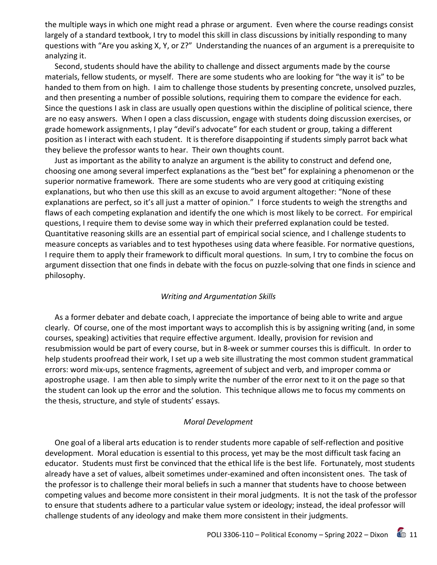the multiple ways in which one might read a phrase or argument. Even where the course readings consist largely of a standard textbook, I try to model this skill in class discussions by initially responding to many questions with "Are you asking X, Y, or Z?" Understanding the nuances of an argument is a prerequisite to analyzing it.

 Second, students should have the ability to challenge and dissect arguments made by the course materials, fellow students, or myself. There are some students who are looking for "the way it is" to be handed to them from on high. I aim to challenge those students by presenting concrete, unsolved puzzles, and then presenting a number of possible solutions, requiring them to compare the evidence for each. Since the questions I ask in class are usually open questions within the discipline of political science, there are no easy answers. When I open a class discussion, engage with students doing discussion exercises, or grade homework assignments, I play "devil's advocate" for each student or group, taking a different position as I interact with each student. It is therefore disappointing if students simply parrot back what they believe the professor wants to hear. Their own thoughts count.

 Just as important as the ability to analyze an argument is the ability to construct and defend one, choosing one among several imperfect explanations as the "best bet" for explaining a phenomenon or the superior normative framework. There are some students who are very good at critiquing existing explanations, but who then use this skill as an excuse to avoid argument altogether: "None of these explanations are perfect, so it's all just a matter of opinion." I force students to weigh the strengths and flaws of each competing explanation and identify the one which is most likely to be correct. For empirical questions, I require them to devise some way in which their preferred explanation could be tested. Quantitative reasoning skills are an essential part of empirical social science, and I challenge students to measure concepts as variables and to test hypotheses using data where feasible. For normative questions, I require them to apply their framework to difficult moral questions. In sum, I try to combine the focus on argument dissection that one finds in debate with the focus on puzzle-solving that one finds in science and philosophy.

#### *Writing and Argumentation Skills*

 As a former debater and debate coach, I appreciate the importance of being able to write and argue clearly. Of course, one of the most important ways to accomplish this is by assigning writing (and, in some courses, speaking) activities that require effective argument. Ideally, provision for revision and resubmission would be part of every course, but in 8-week or summer courses this is difficult. In order to help students proofread their work, I set up a web site illustrating the most common student grammatical errors: word mix-ups, sentence fragments, agreement of subject and verb, and improper comma or apostrophe usage. I am then able to simply write the number of the error next to it on the page so that the student can look up the error and the solution. This technique allows me to focus my comments on the thesis, structure, and style of students' essays.

#### *Moral Development*

 One goal of a liberal arts education is to render students more capable of self-reflection and positive development. Moral education is essential to this process, yet may be the most difficult task facing an educator. Students must first be convinced that the ethical life is the best life. Fortunately, most students already have a set of values, albeit sometimes under-examined and often inconsistent ones. The task of the professor is to challenge their moral beliefs in such a manner that students have to choose between competing values and become more consistent in their moral judgments. It is not the task of the professor to ensure that students adhere to a particular value system or ideology; instead, the ideal professor will challenge students of any ideology and make them more consistent in their judgments.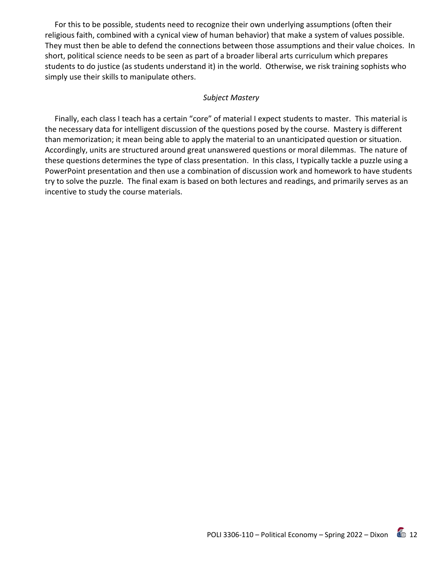For this to be possible, students need to recognize their own underlying assumptions (often their religious faith, combined with a cynical view of human behavior) that make a system of values possible. They must then be able to defend the connections between those assumptions and their value choices. In short, political science needs to be seen as part of a broader liberal arts curriculum which prepares students to do justice (as students understand it) in the world. Otherwise, we risk training sophists who simply use their skills to manipulate others.

#### *Subject Mastery*

 Finally, each class I teach has a certain "core" of material I expect students to master. This material is the necessary data for intelligent discussion of the questions posed by the course. Mastery is different than memorization; it mean being able to apply the material to an unanticipated question or situation. Accordingly, units are structured around great unanswered questions or moral dilemmas. The nature of these questions determines the type of class presentation. In this class, I typically tackle a puzzle using a PowerPoint presentation and then use a combination of discussion work and homework to have students try to solve the puzzle. The final exam is based on both lectures and readings, and primarily serves as an incentive to study the course materials.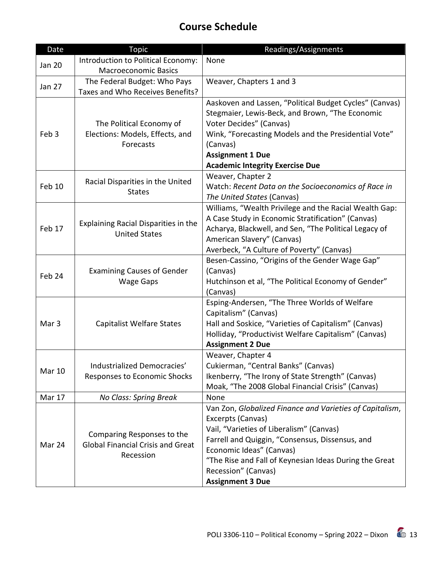# **Course Schedule**

| Date             | <b>Topic</b>                                                                        | Readings/Assignments                                                                                                                                                                                                                                                                                                 |
|------------------|-------------------------------------------------------------------------------------|----------------------------------------------------------------------------------------------------------------------------------------------------------------------------------------------------------------------------------------------------------------------------------------------------------------------|
| <b>Jan 20</b>    | Introduction to Political Economy:<br><b>Macroeconomic Basics</b>                   | None                                                                                                                                                                                                                                                                                                                 |
| Jan 27           | The Federal Budget: Who Pays<br>Taxes and Who Receives Benefits?                    | Weaver, Chapters 1 and 3                                                                                                                                                                                                                                                                                             |
| Feb <sub>3</sub> | The Political Economy of<br>Elections: Models, Effects, and<br>Forecasts            | Aaskoven and Lassen, "Political Budget Cycles" (Canvas)<br>Stegmaier, Lewis-Beck, and Brown, "The Economic<br>Voter Decides" (Canvas)<br>Wink, "Forecasting Models and the Presidential Vote"<br>(Canvas)<br><b>Assignment 1 Due</b><br><b>Academic Integrity Exercise Due</b>                                       |
| Feb 10           | Racial Disparities in the United<br><b>States</b>                                   | Weaver, Chapter 2<br>Watch: Recent Data on the Socioeconomics of Race in<br>The United States (Canvas)                                                                                                                                                                                                               |
| Feb 17           | Explaining Racial Disparities in the<br><b>United States</b>                        | Williams, "Wealth Privilege and the Racial Wealth Gap:<br>A Case Study in Economic Stratification" (Canvas)<br>Acharya, Blackwell, and Sen, "The Political Legacy of<br>American Slavery" (Canvas)<br>Averbeck, "A Culture of Poverty" (Canvas)                                                                      |
| Feb 24           | <b>Examining Causes of Gender</b><br><b>Wage Gaps</b>                               | Besen-Cassino, "Origins of the Gender Wage Gap"<br>(Canvas)<br>Hutchinson et al, "The Political Economy of Gender"<br>(Canvas)                                                                                                                                                                                       |
| Mar <sub>3</sub> | <b>Capitalist Welfare States</b>                                                    | Esping-Andersen, "The Three Worlds of Welfare<br>Capitalism" (Canvas)<br>Hall and Soskice, "Varieties of Capitalism" (Canvas)<br>Holliday, "Productivist Welfare Capitalism" (Canvas)<br><b>Assignment 2 Due</b>                                                                                                     |
| <b>Mar 10</b>    | Industrialized Democracies'<br>Responses to Economic Shocks                         | Weaver, Chapter 4<br>Cukierman, "Central Banks" (Canvas)<br>Ikenberry, "The Irony of State Strength" (Canvas)<br>Moak, "The 2008 Global Financial Crisis" (Canvas)                                                                                                                                                   |
| Mar 17           | No Class: Spring Break                                                              | None                                                                                                                                                                                                                                                                                                                 |
| Mar 24           | Comparing Responses to the<br><b>Global Financial Crisis and Great</b><br>Recession | Van Zon, Globalized Finance and Varieties of Capitalism,<br>Excerpts (Canvas)<br>Vail, "Varieties of Liberalism" (Canvas)<br>Farrell and Quiggin, "Consensus, Dissensus, and<br>Economic Ideas" (Canvas)<br>"The Rise and Fall of Keynesian Ideas During the Great<br>Recession" (Canvas)<br><b>Assignment 3 Due</b> |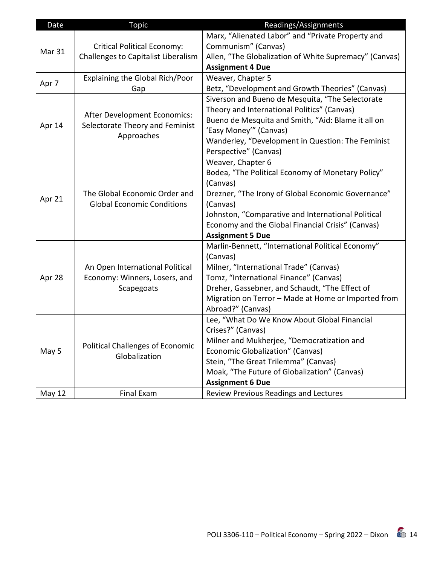| Date          | <b>Topic</b>                               | Readings/Assignments                                   |
|---------------|--------------------------------------------|--------------------------------------------------------|
|               |                                            | Marx, "Alienated Labor" and "Private Property and      |
| Mar 31        | <b>Critical Political Economy:</b>         | Communism" (Canvas)                                    |
|               | <b>Challenges to Capitalist Liberalism</b> | Allen, "The Globalization of White Supremacy" (Canvas) |
|               |                                            | <b>Assignment 4 Due</b>                                |
| Apr 7         | Explaining the Global Rich/Poor            | Weaver, Chapter 5                                      |
|               | Gap                                        | Betz, "Development and Growth Theories" (Canvas)       |
|               |                                            | Siverson and Bueno de Mesquita, "The Selectorate       |
|               | After Development Economics:               | Theory and International Politics" (Canvas)            |
| Apr 14        | Selectorate Theory and Feminist            | Bueno de Mesquita and Smith, "Aid: Blame it all on     |
|               | Approaches                                 | 'Easy Money'" (Canvas)                                 |
|               |                                            | Wanderley, "Development in Question: The Feminist      |
|               |                                            | Perspective" (Canvas)                                  |
|               |                                            | Weaver, Chapter 6                                      |
|               |                                            | Bodea, "The Political Economy of Monetary Policy"      |
|               |                                            | (Canvas)                                               |
| Apr 21        | The Global Economic Order and              | Drezner, "The Irony of Global Economic Governance"     |
|               | <b>Global Economic Conditions</b>          | (Canvas)                                               |
|               |                                            | Johnston, "Comparative and International Political     |
|               |                                            | Economy and the Global Financial Crisis" (Canvas)      |
|               |                                            | <b>Assignment 5 Due</b>                                |
|               |                                            | Marlin-Bennett, "International Political Economy"      |
|               |                                            | (Canvas)                                               |
|               | An Open International Political            | Milner, "International Trade" (Canvas)                 |
| Apr 28        | Economy: Winners, Losers, and              | Tomz, "International Finance" (Canvas)                 |
|               | Scapegoats                                 | Dreher, Gassebner, and Schaudt, "The Effect of         |
|               |                                            | Migration on Terror - Made at Home or Imported from    |
|               |                                            | Abroad?" (Canvas)                                      |
|               |                                            | Lee, "What Do We Know About Global Financial           |
|               |                                            | Crises?" (Canvas)                                      |
|               | <b>Political Challenges of Economic</b>    | Milner and Mukherjee, "Democratization and             |
| May 5         | Globalization                              | Economic Globalization" (Canvas)                       |
|               |                                            | Stein, "The Great Trilemma" (Canvas)                   |
|               |                                            | Moak, "The Future of Globalization" (Canvas)           |
|               |                                            | <b>Assignment 6 Due</b>                                |
| <b>May 12</b> | Final Exam                                 | Review Previous Readings and Lectures                  |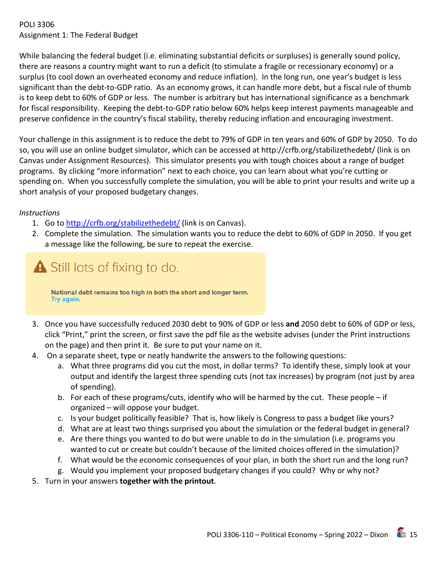#### POLI 3306 Assignment 1: The Federal Budget

While balancing the federal budget (i.e. eliminating substantial deficits or surpluses) is generally sound policy, there are reasons a country might want to run a deficit (to stimulate a fragile or recessionary economy) or a surplus (to cool down an overheated economy and reduce inflation). In the long run, one year's budget is less significant than the debt-to-GDP ratio. As an economy grows, it can handle more debt, but a fiscal rule of thumb is to keep debt to 60% of GDP or less. The number is arbitrary but has international significance as a benchmark for fiscal responsibility. Keeping the debt-to-GDP ratio below 60% helps keep interest payments manageable and preserve confidence in the country's fiscal stability, thereby reducing inflation and encouraging investment.

Your challenge in this assignment is to reduce the debt to 79% of GDP in ten years and 60% of GDP by 2050. To do so, you will use an online budget simulator, which can be accessed at http://crfb.org/stabilizethedebt/ (link is on Canvas under Assignment Resources). This simulator presents you with tough choices about a range of budget programs. By clicking "more information" next to each choice, you can learn about what you're cutting or spending on. When you successfully complete the simulation, you will be able to print your results and write up a short analysis of your proposed budgetary changes.

#### *Instructions*

- 1. Go t[o http://crfb.org/stabilizethedebt/](http://crfb.org/stabilizethedebt/) (link is on Canvas).
- 2. Complete the simulation. The simulation wants you to reduce the debt to 60% of GDP in 2050. If you get a message like the following, be sure to repeat the exercise.



National debt remains too high in both the short and longer term. Try again.

- 3. Once you have successfully reduced 2030 debt to 90% of GDP or less **and** 2050 debt to 60% of GDP or less, click "Print," print the screen, or first save the pdf file as the website advises (under the Print instructions on the page) and then print it. Be sure to put your name on it.
- 4. On a separate sheet, type or neatly handwrite the answers to the following questions:
	- a. What three programs did you cut the most, in dollar terms? To identify these, simply look at your output and identify the largest three spending cuts (not tax increases) by program (not just by area of spending).
	- b. For each of these programs/cuts, identify who will be harmed by the cut. These people if organized – will oppose your budget.
	- c. Is your budget politically feasible? That is, how likely is Congress to pass a budget like yours?
	- d. What are at least two things surprised you about the simulation or the federal budget in general?
	- e. Are there things you wanted to do but were unable to do in the simulation (i.e. programs you wanted to cut or create but couldn't because of the limited choices offered in the simulation)?
	- f. What would be the economic consequences of your plan, in both the short run and the long run?
	- g. Would you implement your proposed budgetary changes if you could? Why or why not?
- 5. Turn in your answers **together with the printout**.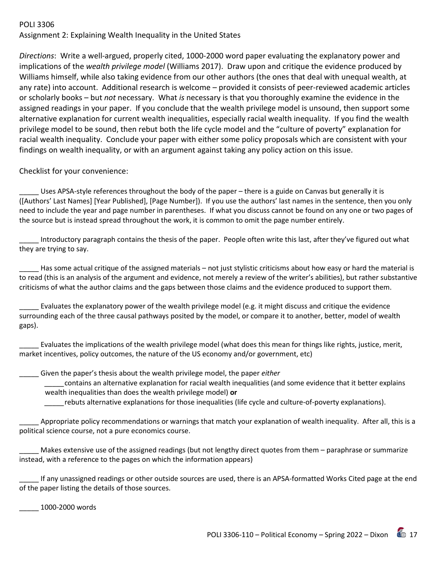#### POLI 3306

Assignment 2: Explaining Wealth Inequality in the United States

*Directions*: Write a well-argued, properly cited, 1000-2000 word paper evaluating the explanatory power and implications of the *wealth privilege model* (Williams 2017). Draw upon and critique the evidence produced by Williams himself, while also taking evidence from our other authors (the ones that deal with unequal wealth, at any rate) into account. Additional research is welcome – provided it consists of peer-reviewed academic articles or scholarly books – but *not* necessary. What *is* necessary is that you thoroughly examine the evidence in the assigned readings in your paper. If you conclude that the wealth privilege model is unsound, then support some alternative explanation for current wealth inequalities, especially racial wealth inequality. If you find the wealth privilege model to be sound, then rebut both the life cycle model and the "culture of poverty" explanation for racial wealth inequality. Conclude your paper with either some policy proposals which are consistent with your findings on wealth inequality, or with an argument against taking any policy action on this issue.

#### Checklist for your convenience:

Uses APSA-style references throughout the body of the paper – there is a guide on Canvas but generally it is ([Authors' Last Names] [Year Published], [Page Number]). If you use the authors' last names in the sentence, then you only need to include the year and page number in parentheses. If what you discuss cannot be found on any one or two pages of the source but is instead spread throughout the work, it is common to omit the page number entirely.

Introductory paragraph contains the thesis of the paper. People often write this last, after they've figured out what they are trying to say.

Has some actual critique of the assigned materials – not just stylistic criticisms about how easy or hard the material is to read (this is an analysis of the argument and evidence, not merely a review of the writer's abilities), but rather substantive criticisms of what the author claims and the gaps between those claims and the evidence produced to support them.

Evaluates the explanatory power of the wealth privilege model (e.g. it might discuss and critique the evidence surrounding each of the three causal pathways posited by the model, or compare it to another, better, model of wealth gaps).

\_\_\_\_\_ Evaluates the implications of the wealth privilege model (what does this mean for things like rights, justice, merit, market incentives, policy outcomes, the nature of the US economy and/or government, etc)

\_\_\_\_\_ Given the paper's thesis about the wealth privilege model, the paper *either* 

*\_\_\_\_\_*contains an alternative explanation for racial wealth inequalities (and some evidence that it better explains wealth inequalities than does the wealth privilege model) **or** 

*\_\_\_\_\_*rebuts alternative explanations for those inequalities (life cycle and culture-of-poverty explanations).

Appropriate policy recommendations or warnings that match your explanation of wealth inequality. After all, this is a political science course, not a pure economics course.

Makes extensive use of the assigned readings (but not lengthy direct quotes from them – paraphrase or summarize instead, with a reference to the pages on which the information appears)

\_\_\_\_\_ If any unassigned readings or other outside sources are used, there is an APSA-formatted Works Cited page at the end of the paper listing the details of those sources.

\_\_\_\_\_ 1000-2000 words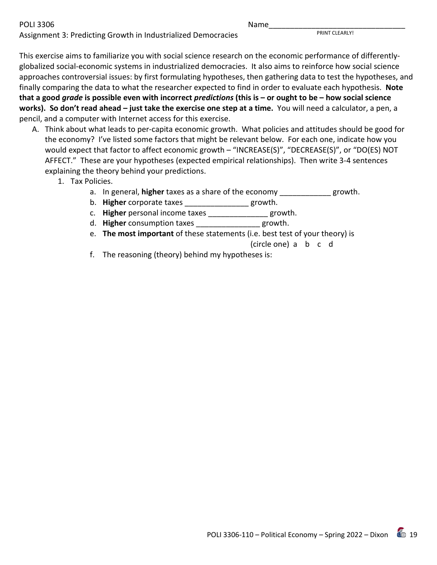POLI 3306 Name\_\_\_\_\_\_\_\_\_\_\_\_\_\_\_\_\_\_\_\_\_\_\_\_\_\_\_\_\_\_\_\_

Assignment 3: Predicting Growth in Industrialized Democracies **PRINT CLEARLY!** 

This exercise aims to familiarize you with social science research on the economic performance of differentlyglobalized social-economic systems in industrialized democracies. It also aims to reinforce how social science approaches controversial issues: by first formulating hypotheses, then gathering data to test the hypotheses, and finally comparing the data to what the researcher expected to find in order to evaluate each hypothesis. **Note that a good** *grade* **is possible even with incorrect** *predictions* **(this is – or ought to be – how social science works). So don't read ahead – just take the exercise one step at a time.** You will need a calculator, a pen, a pencil, and a computer with Internet access for this exercise.

- A. Think about what leads to per-capita economic growth. What policies and attitudes should be good for the economy? I've listed some factors that might be relevant below. For each one, indicate how you would expect that factor to affect economic growth – "INCREASE(S)", "DECREASE(S)", or "DO(ES) NOT AFFECT." These are your hypotheses (expected empirical relationships). Then write 3-4 sentences explaining the theory behind your predictions.
	- 1. Tax Policies.
		- a. In general, **higher** taxes as a share of the economy \_\_\_\_\_\_\_\_\_\_\_\_ growth.
		- b. **Higher** corporate taxes **Example 2** growth.
		- c. **Higher** personal income taxes \_\_\_\_\_\_\_\_\_\_\_\_\_\_ growth.
		- d. **Higher** consumption taxes \_\_\_\_\_\_\_\_\_\_\_\_\_\_\_ growth.
		- e. **The most important** of these statements (i.e. best test of your theory) is

(circle one) a b c d

f. The reasoning (theory) behind my hypotheses is: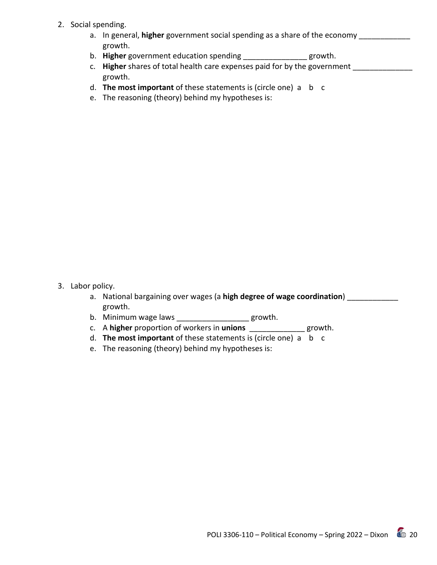- 2. Social spending.
	- a. In general, **higher** government social spending as a share of the economy **with the set of the set of the set of** growth.
	- b. **Higher** government education spending \_\_\_\_\_\_\_\_\_\_\_\_\_\_\_ growth.
	- c. **Higher** shares of total health care expenses paid for by the government **with the same of the same of the same** growth.
	- d. **The most important** of these statements is (circle one) a b c
	- e. The reasoning (theory) behind my hypotheses is:

- 3. Labor policy.
	- a. National bargaining over wages (a **high degree of wage coordination**) growth.
	- b. Minimum wage laws \_\_\_\_\_\_\_\_\_\_\_\_\_\_\_\_\_ growth.
	- c. A **higher** proportion of workers in **unions** \_\_\_\_\_\_\_\_\_\_\_\_\_ growth.
	- d. **The most important** of these statements is (circle one) a b c
	- e. The reasoning (theory) behind my hypotheses is: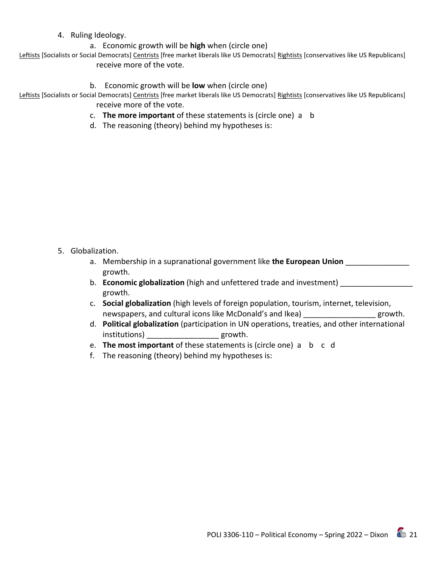#### 4. Ruling Ideology.

a. Economic growth will be **high** when (circle one)

Leftists [Socialists or Social Democrats] Centrists [free market liberals like US Democrats] Rightists [conservatives like US Republicans] receive more of the vote.

b. Economic growth will be **low** when (circle one)

Leftists [Socialists or Social Democrats] Centrists [free market liberals like US Democrats] Rightists [conservatives like US Republicans] receive more of the vote.

- c. **The more important** of these statements is (circle one) a b
- d. The reasoning (theory) behind my hypotheses is:

5. Globalization.

- a. Membership in a supranational government like **the European Union** \_\_\_\_\_\_\_\_\_\_\_\_\_\_\_ growth.
- b. **Economic globalization** (high and unfettered trade and investment) \_\_\_\_\_\_\_\_\_\_\_\_\_\_\_\_ growth.
- c. **Social globalization** (high levels of foreign population, tourism, internet, television, newspapers, and cultural icons like McDonald's and Ikea) \_\_\_\_\_\_\_\_\_\_\_\_\_\_\_\_\_ growth.
- d. **Political globalization** (participation in UN operations, treaties, and other international institutions) errowth.
- e. **The most important** of these statements is (circle one) a b c d
- f. The reasoning (theory) behind my hypotheses is: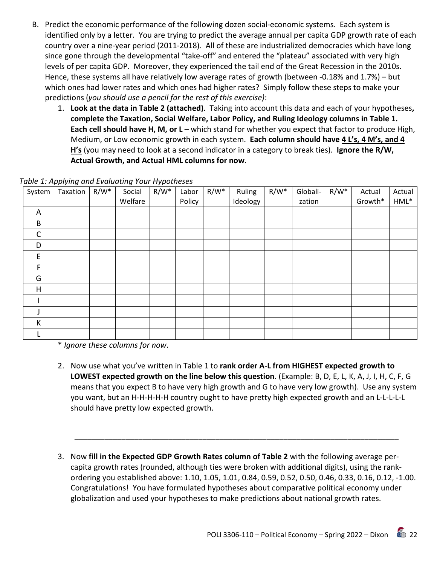- B. Predict the economic performance of the following dozen social-economic systems. Each system is identified only by a letter. You are trying to predict the average annual per capita GDP growth rate of each country over a nine-year period (2011-2018). All of these are industrialized democracies which have long since gone through the developmental "take-off" and entered the "plateau" associated with very high levels of per capita GDP. Moreover, they experienced the tail end of the Great Recession in the 2010s. Hence, these systems all have relatively low average rates of growth (between -0.18% and 1.7%) – but which ones had lower rates and which ones had higher rates? Simply follow these steps to make your predictions (*you should use a pencil for the rest of this exercise)*:
	- 1. **Look at the data in Table 2 (attached)**. Taking into account this data and each of your hypotheses**, complete the Taxation, Social Welfare, Labor Policy, and Ruling Ideology columns in Table 1. Each cell should have H, M, or L** – which stand for whether you expect that factor to produce High, Medium, or Low economic growth in each system. **Each column should have 4 L's, 4 M's, and 4 H's** (you may need to look at a second indicator in a category to break ties). **Ignore the R/W, Actual Growth, and Actual HML columns for now**.

| System       | Taxation | R/W* | Social  | $R/W^*$ | Labor  | $R/W^*$ | Ruling   | $R/W^*$ | Globali- | $R/W^*$ | Actual  | Actual  |
|--------------|----------|------|---------|---------|--------|---------|----------|---------|----------|---------|---------|---------|
|              |          |      | Welfare |         | Policy |         | Ideology |         | zation   |         | Growth* | $HML^*$ |
| A            |          |      |         |         |        |         |          |         |          |         |         |         |
| B            |          |      |         |         |        |         |          |         |          |         |         |         |
| $\mathsf{C}$ |          |      |         |         |        |         |          |         |          |         |         |         |
| D            |          |      |         |         |        |         |          |         |          |         |         |         |
| E            |          |      |         |         |        |         |          |         |          |         |         |         |
| F            |          |      |         |         |        |         |          |         |          |         |         |         |
| G            |          |      |         |         |        |         |          |         |          |         |         |         |
| H            |          |      |         |         |        |         |          |         |          |         |         |         |
|              |          |      |         |         |        |         |          |         |          |         |         |         |
|              |          |      |         |         |        |         |          |         |          |         |         |         |
| К            |          |      |         |         |        |         |          |         |          |         |         |         |
|              |          |      |         |         |        |         |          |         |          |         |         |         |

*Table 1: Applying and Evaluating Your Hypotheses*

\* *Ignore these columns for now*.

- 2. Now use what you've written in Table 1 to **rank order A-L from HIGHEST expected growth to LOWEST expected growth on the line below this question**. (Example: B, D, E, L, K, A, J, I, H, C, F, G means that you expect B to have very high growth and G to have very low growth). Use any system you want, but an H-H-H-H-H country ought to have pretty high expected growth and an L-L-L-L-L should have pretty low expected growth.
- 3. Now **fill in the Expected GDP Growth Rates column of Table 2** with the following average percapita growth rates (rounded, although ties were broken with additional digits), using the rankordering you established above: 1.10, 1.05, 1.01, 0.84, 0.59, 0.52, 0.50, 0.46, 0.33, 0.16, 0.12, -1.00. Congratulations! You have formulated hypotheses about comparative political economy under globalization and used your hypotheses to make predictions about national growth rates.

\_\_\_\_\_\_\_\_\_\_\_\_\_\_\_\_\_\_\_\_\_\_\_\_\_\_\_\_\_\_\_\_\_\_\_\_\_\_\_\_\_\_\_\_\_\_\_\_\_\_\_\_\_\_\_\_\_\_\_\_\_\_\_\_\_\_\_\_\_\_\_\_\_\_\_\_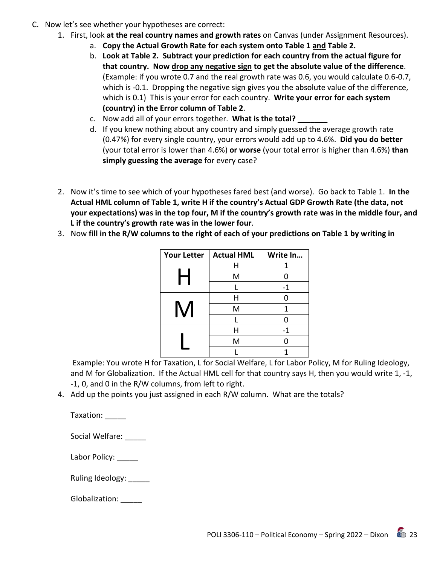- C. Now let's see whether your hypotheses are correct:
	- 1. First, look **at the real country names and growth rates** on Canvas (under Assignment Resources).
		- a. **Copy the Actual Growth Rate for each system onto Table 1 and Table 2.**
		- b. **Look at Table 2. Subtract your prediction for each country from the actual figure for that country. Now drop any negative sign to get the absolute value of the difference**. (Example: if you wrote 0.7 and the real growth rate was 0.6, you would calculate 0.6-0.7, which is -0.1. Dropping the negative sign gives you the absolute value of the difference, which is 0.1) This is your error for each country. **Write your error for each system (country) in the Error column of Table 2**.
		- c. Now add all of your errors together. **What is the total? \_\_\_\_\_\_\_**
		- d. If you knew nothing about any country and simply guessed the average growth rate (0.47%) for every single country, your errors would add up to 4.6%. **Did you do better** (your total error is lower than 4.6%) **or worse** (your total error is higher than 4.6%) **than simply guessing the average** for every case?
	- 2. Now it's time to see which of your hypotheses fared best (and worse). Go back to Table 1. **In the Actual HML column of Table 1, write H if the country's Actual GDP Growth Rate (the data, not your expectations) was in the top four, M if the country's growth rate was in the middle four, and L if the country's growth rate was in the lower four**.
	- 3. Now **fill in the R/W columns to the right of each of your predictions on Table 1 by writing in**

| <b>Your Letter</b> | <b>Actual HML</b> | Write In |
|--------------------|-------------------|----------|
|                    | Η                 |          |
|                    | M                 | ი        |
|                    |                   | $-1$     |
|                    | Η                 | 0        |
|                    | M                 | 1        |
|                    |                   |          |
|                    | Н                 | -1       |
|                    | M                 | N        |
|                    |                   |          |

Example: You wrote H for Taxation, L for Social Welfare, L for Labor Policy, M for Ruling Ideology, and M for Globalization. If the Actual HML cell for that country says H, then you would write 1, -1, -1, 0, and 0 in the R/W columns, from left to right.

4. Add up the points you just assigned in each R/W column. What are the totals?

Taxation: \_\_\_\_\_

Social Welfare:

Labor Policy: \_\_\_\_\_

Ruling Ideology: \_\_\_\_\_

Globalization: \_\_\_\_\_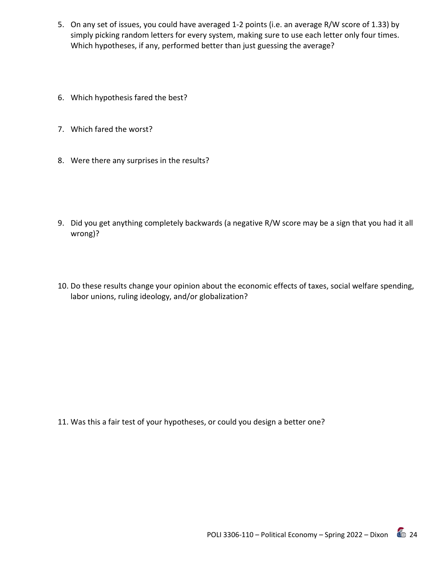- 5. On any set of issues, you could have averaged 1-2 points (i.e. an average R/W score of 1.33) by simply picking random letters for every system, making sure to use each letter only four times. Which hypotheses, if any, performed better than just guessing the average?
- 6. Which hypothesis fared the best?
- 7. Which fared the worst?
- 8. Were there any surprises in the results?
- 9. Did you get anything completely backwards (a negative R/W score may be a sign that you had it all wrong)?
- 10. Do these results change your opinion about the economic effects of taxes, social welfare spending, labor unions, ruling ideology, and/or globalization?

11. Was this a fair test of your hypotheses, or could you design a better one?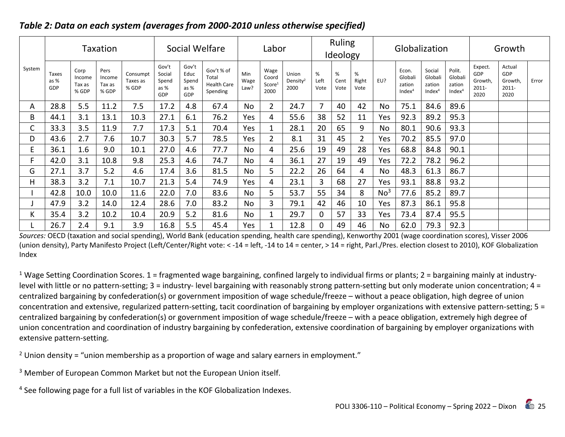| Taxation |                      |                                   |                                   | Social Welfare                |                                           |                                       |                                                       | Labor               |                                             |                                       | Ruling<br>Ideology |                   | Globalization      |                 |                                                  |                                                   | Growth                                            |                                            |                                           |       |
|----------|----------------------|-----------------------------------|-----------------------------------|-------------------------------|-------------------------------------------|---------------------------------------|-------------------------------------------------------|---------------------|---------------------------------------------|---------------------------------------|--------------------|-------------------|--------------------|-----------------|--------------------------------------------------|---------------------------------------------------|---------------------------------------------------|--------------------------------------------|-------------------------------------------|-------|
| System   | Taxes<br>as %<br>GDP | Corp<br>Income<br>Tax as<br>% GDP | Pers<br>Income<br>Tax as<br>% GDP | Consumpt<br>Taxes as<br>% GDP | Gov't<br>Social<br>Spend<br>as $%$<br>GDP | Gov't<br>Educ<br>Spend<br>as %<br>GDP | Gov't % of<br>Total<br><b>Health Care</b><br>Spending | Min<br>Wage<br>Law? | Wage<br>Coord<br>Score <sup>1</sup><br>2000 | Union<br>Density <sup>2</sup><br>2000 | %<br>Left<br>Vote  | %<br>Cent<br>Vote | %<br>Right<br>Vote | EU?             | Econ.<br>Globali<br>zation<br>Index <sup>4</sup> | Social<br>Globali<br>zation<br>Index <sup>4</sup> | Polit.<br>Globali<br>zation<br>Index <sup>4</sup> | Expect.<br>GDP<br>Growth,<br>2011-<br>2020 | Actual<br>GDP<br>Growth,<br>2011-<br>2020 | Error |
| A        | 28.8                 | 5.5                               | 11.2                              | 7.5                           | 17.2                                      | 4.8                                   | 67.4                                                  | No                  | $\overline{2}$                              | 24.7                                  | 7                  | 40                | 42                 | No              | 75.1                                             | 84.6                                              | 89.6                                              |                                            |                                           |       |
| B        | 44.1                 | 3.1                               | 13.1                              | 10.3                          | 27.1                                      | 6.1                                   | 76.2                                                  | Yes                 | 4                                           | 55.6                                  | 38                 | 52                | 11                 | Yes             | 92.3                                             | 89.2                                              | 95.3                                              |                                            |                                           |       |
| С        | 33.3                 | 3.5                               | 11.9                              | 7.7                           | 17.3                                      | 5.1                                   | 70.4                                                  | Yes                 |                                             | 28.1                                  | 20                 | 65                | 9                  | No              | 80.1                                             | 90.6                                              | 93.3                                              |                                            |                                           |       |
| D        | 43.6                 | 2.7                               | 7.6                               | 10.7                          | 30.3                                      | 5.7                                   | 78.5                                                  | Yes                 | 2                                           | 8.1                                   | 31                 | 45                | $\overline{2}$     | Yes             | 70.2                                             | 85.5                                              | 97.0                                              |                                            |                                           |       |
| E.       | 36.1                 | 1.6                               | 9.0                               | 10.1                          | 27.0                                      | 4.6                                   | 77.7                                                  | <b>No</b>           | 4                                           | 25.6                                  | 19                 | 49                | 28                 | Yes             | 68.8                                             | 84.8                                              | 90.1                                              |                                            |                                           |       |
| F.       | 42.0                 | 3.1                               | 10.8                              | 9.8                           | 25.3                                      | 4.6                                   | 74.7                                                  | No                  | 4                                           | 36.1                                  | 27                 | 19                | 49                 | Yes             | 72.2                                             | 78.2                                              | 96.2                                              |                                            |                                           |       |
| G        | 27.1                 | 3.7                               | 5.2                               | 4.6                           | 17.4                                      | 3.6                                   | 81.5                                                  | No                  | 5                                           | 22.2                                  | 26                 | 64                | 4                  | No              | 48.3                                             | 61.3                                              | 86.7                                              |                                            |                                           |       |
| н        | 38.3                 | 3.2                               | 7.1                               | 10.7                          | 21.3                                      | 5.4                                   | 74.9                                                  | Yes                 | 4                                           | 23.1                                  | 3                  | 68                | 27                 | Yes             | 93.1                                             | 88.8                                              | 93.2                                              |                                            |                                           |       |
|          | 42.8                 | 10.0                              | 10.0                              | 11.6                          | 22.0                                      | 7.0                                   | 83.6                                                  | <b>No</b>           | 5                                           | 53.7                                  | 55                 | 34                | 8                  | No <sup>3</sup> | 77.6                                             | 85.2                                              | 89.7                                              |                                            |                                           |       |
|          | 47.9                 | 3.2                               | 14.0                              | 12.4                          | 28.6                                      | 7.0                                   | 83.2                                                  | No                  | 3                                           | 79.1                                  | 42                 | 46                | 10                 | Yes             | 87.3                                             | 86.1                                              | 95.8                                              |                                            |                                           |       |
| K        | 35.4                 | 3.2                               | 10.2                              | 10.4                          | 20.9                                      | 5.2                                   | 81.6                                                  | No                  |                                             | 29.7                                  | 0                  | 57                | 33                 | Yes             | 73.4                                             | 87.4                                              | 95.5                                              |                                            |                                           |       |
|          | 26.7                 | 2.4                               | 9.1                               | 3.9                           | 16.8                                      | 5.5                                   | 45.4                                                  | Yes                 |                                             | 12.8                                  | 0                  | 49                | 46                 | No              | 62.0                                             | 79.3                                              | 92.3                                              |                                            |                                           |       |

# *Table 2: Data on each system (averages from 2000-2010 unless otherwise specified)*

*Sources:* OECD (taxation and social spending), World Bank (education spending, health care spending), Kenworthy 2001 (wage coordination scores), Visser 2006 (union density), Party Manifesto Project (Left/Center/Right vote: < -14 = left, -14 to 14 = center, > 14 = right, Parl./Pres. election closest to 2010), KOF Globalization Index

<sup>1</sup> Wage Setting Coordination Scores. 1 = fragmented wage bargaining, confined largely to individual firms or plants; 2 = bargaining mainly at industrylevel with little or no pattern-setting; 3 = industry- level bargaining with reasonably strong pattern-setting but only moderate union concentration; 4 = centralized bargaining by confederation(s) or government imposition of wage schedule/freeze – without a peace obligation, high degree of union concentration and extensive, regularized pattern-setting, tacit coordination of bargaining by employer organizations with extensive pattern-setting; 5 = centralized bargaining by confederation(s) or government imposition of wage schedule/freeze – with a peace obligation, extremely high degree of union concentration and coordination of industry bargaining by confederation, extensive coordination of bargaining by employer organizations with extensive pattern-setting.

<sup>2</sup> Union density = "union membership as a proportion of wage and salary earners in employment."

<sup>3</sup> Member of European Common Market but not the European Union itself.

<sup>4</sup> See following page for a full list of variables in the KOF Globalization Indexes.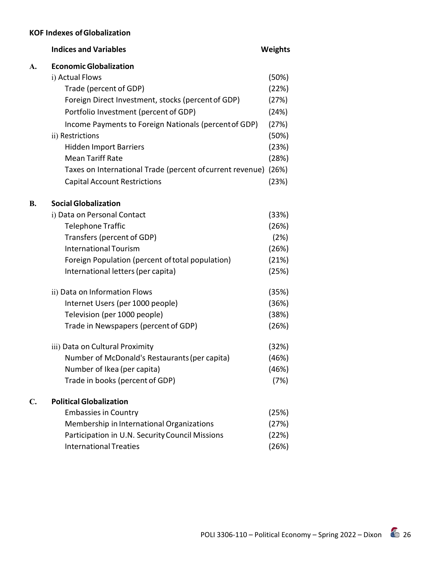# **KOF Indexes ofGlobalization**

|           | <b>Indices and Variables</b>                                    | <b>Weights</b> |
|-----------|-----------------------------------------------------------------|----------------|
| A.        | <b>Economic Globalization</b>                                   |                |
|           | i) Actual Flows                                                 | (50%)          |
|           | Trade (percent of GDP)                                          | (22%)          |
|           | Foreign Direct Investment, stocks (percent of GDP)              | (27%)          |
|           | Portfolio Investment (percent of GDP)                           | (24%)          |
|           | Income Payments to Foreign Nationals (percent of GDP)           | (27%)          |
|           | ii) Restrictions                                                | (50%)          |
|           | <b>Hidden Import Barriers</b>                                   | (23%)          |
|           | <b>Mean Tariff Rate</b>                                         | (28%)          |
|           | Taxes on International Trade (percent of current revenue) (26%) |                |
|           | <b>Capital Account Restrictions</b>                             | (23%)          |
| <b>B.</b> | <b>Social Globalization</b>                                     |                |
|           | i) Data on Personal Contact                                     | (33%)          |
|           | <b>Telephone Traffic</b>                                        | (26%)          |
|           | Transfers (percent of GDP)                                      | (2%)           |
|           | <b>International Tourism</b>                                    | (26%)          |
|           | Foreign Population (percent of total population)                | (21%)          |
|           | International letters (per capita)                              | (25%)          |
|           | ii) Data on Information Flows                                   | (35%)          |
|           | Internet Users (per 1000 people)                                | (36%)          |
|           | Television (per 1000 people)                                    | (38%)          |
|           | Trade in Newspapers (percent of GDP)                            | (26%)          |
|           | iii) Data on Cultural Proximity                                 | (32%)          |
|           | Number of McDonald's Restaurants (per capita)                   | (46%)          |
|           | Number of Ikea (per capita)                                     | (46%)          |
|           | Trade in books (percent of GDP)                                 | (7%)           |
| C.        | <b>Political Globalization</b>                                  |                |
|           | <b>Embassies in Country</b>                                     | (25%)          |
|           | Membership in International Organizations                       | (27%)          |
|           | Participation in U.N. Security Council Missions                 | (22%)          |
|           | <b>International Treaties</b>                                   | (26%)          |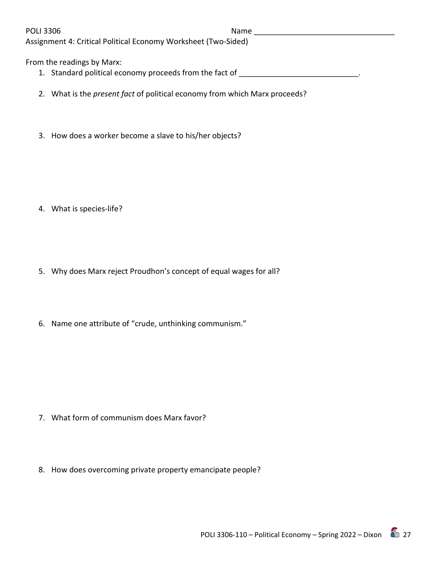POLI 3306 Name \_\_\_\_\_\_\_\_\_\_\_\_\_\_\_\_\_\_\_\_\_\_\_\_\_\_\_\_\_\_\_\_\_

Assignment 4: Critical Political Economy Worksheet (Two-Sided)

From the readings by Marx:

- 1. Standard political economy proceeds from the fact of \_\_\_\_\_\_\_\_\_\_\_\_\_\_\_\_\_\_\_\_\_\_\_\_\_
- 2. What is the *present fact* of political economy from which Marx proceeds?
- 3. How does a worker become a slave to his/her objects?

- 4. What is species-life?
- 5. Why does Marx reject Proudhon's concept of equal wages for all?
- 6. Name one attribute of "crude, unthinking communism."

- 7. What form of communism does Marx favor?
- 8. How does overcoming private property emancipate people?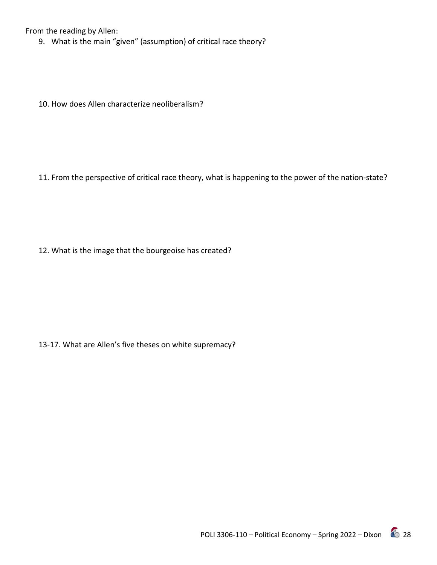From the reading by Allen:

9. What is the main "given" (assumption) of critical race theory?

10. How does Allen characterize neoliberalism?

11. From the perspective of critical race theory, what is happening to the power of the nation-state?

12. What is the image that the bourgeoise has created?

13-17. What are Allen's five theses on white supremacy?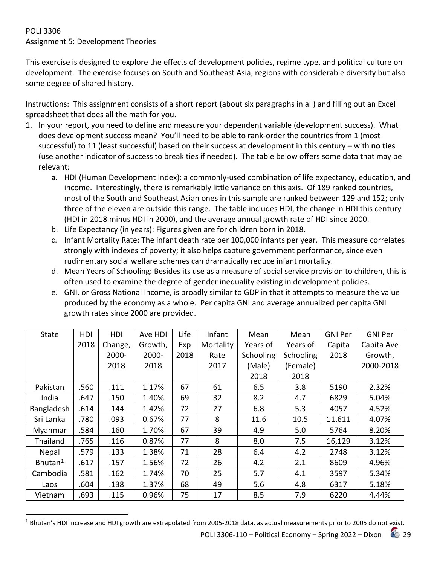# POLI 3306 Assignment 5: Development Theories

This exercise is designed to explore the effects of development policies, regime type, and political culture on development. The exercise focuses on South and Southeast Asia, regions with considerable diversity but also some degree of shared history.

Instructions: This assignment consists of a short report (about six paragraphs in all) and filling out an Excel spreadsheet that does all the math for you.

- 1. In your report, you need to define and measure your dependent variable (development success). What does development success mean? You'll need to be able to rank-order the countries from 1 (most successful) to 11 (least successful) based on their success at development in this century – with **no ties** (use another indicator of success to break ties if needed). The table below offers some data that may be relevant:
	- a. HDI (Human Development Index): a commonly-used combination of life expectancy, education, and income. Interestingly, there is remarkably little variance on this axis. Of 189 ranked countries, most of the South and Southeast Asian ones in this sample are ranked between 129 and 152; only three of the eleven are outside this range. The table includes HDI, the change in HDI this century (HDI in 2018 minus HDI in 2000), and the average annual growth rate of HDI since 2000.
	- b. Life Expectancy (in years): Figures given are for children born in 2018.
	- c. Infant Mortality Rate: The infant death rate per 100,000 infants per year. This measure correlates strongly with indexes of poverty; it also helps capture government performance, since even rudimentary social welfare schemes can dramatically reduce infant mortality.
	- d. Mean Years of Schooling: Besides its use as a measure of social service provision to children, this is often used to examine the degree of gender inequality existing in development policies.
	- e. GNI, or Gross National Income, is broadly similar to GDP in that it attempts to measure the value produced by the economy as a whole. Per capita GNI and average annualized per capita GNI growth rates since 2000 are provided.

| <b>State</b>        | <b>HDI</b> | HDI     | Ave HDI | Life | Infant    | Mean      | Mean      | <b>GNI Per</b> | <b>GNI Per</b> |
|---------------------|------------|---------|---------|------|-----------|-----------|-----------|----------------|----------------|
|                     | 2018       | Change, | Growth, | Exp  | Mortality | Years of  | Years of  | Capita         | Capita Ave     |
|                     |            | 2000-   | 2000-   | 2018 | Rate      | Schooling | Schooling | 2018           | Growth,        |
|                     |            | 2018    | 2018    |      | 2017      | (Male)    | (Female)  |                | 2000-2018      |
|                     |            |         |         |      |           | 2018      | 2018      |                |                |
| Pakistan            | .560       | .111    | 1.17%   | 67   | 61        | 6.5       | 3.8       | 5190           | 2.32%          |
| India               | .647       | .150    | 1.40%   | 69   | 32        | 8.2       | 4.7       | 6829           | 5.04%          |
| Bangladesh          | .614       | .144    | 1.42%   | 72   | 27        | 6.8       | 5.3       | 4057           | 4.52%          |
| Sri Lanka           | .780       | .093    | 0.67%   | 77   | 8         | 11.6      | 10.5      | 11,611         | 4.07%          |
| Myanmar             | .584       | .160    | 1.70%   | 67   | 39        | 4.9       | 5.0       | 5764           | 8.20%          |
| Thailand            | .765       | .116    | 0.87%   | 77   | 8         | 8.0       | 7.5       | 16,129         | 3.12%          |
| Nepal               | .579       | .133    | 1.38%   | 71   | 28        | 6.4       | 4.2       | 2748           | 3.12%          |
| Bhutan <sup>1</sup> | .617       | .157    | 1.56%   | 72   | 26        | 4.2       | 2.1       | 8609           | 4.96%          |
| Cambodia            | .581       | .162    | 1.74%   | 70   | 25        | 5.7       | 4.1       | 3597           | 5.34%          |
| Laos                | .604       | .138    | 1.37%   | 68   | 49        | 5.6       | 4.8       | 6317           | 5.18%          |
| Vietnam             | .693       | .115    | 0.96%   | 75   | 17        | 8.5       | 7.9       | 6220           | 4.44%          |

<span id="page-28-0"></span> $1$  Bhutan's HDI increase and HDI growth are extrapolated from 2005-2018 data, as actual measurements prior to 2005 do not exist.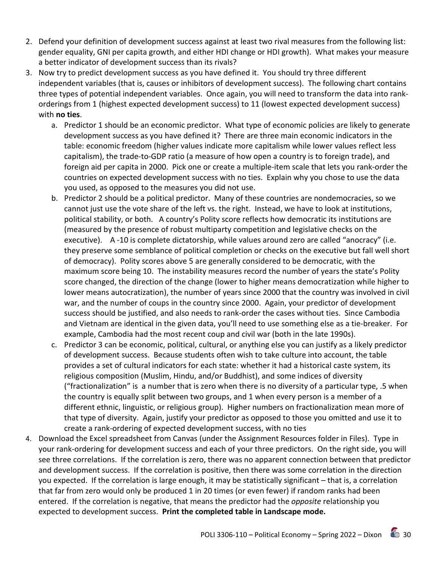- 2. Defend your definition of development success against at least two rival measures from the following list: gender equality, GNI per capita growth, and either HDI change or HDI growth). What makes your measure a better indicator of development success than its rivals?
- 3. Now try to predict development success as you have defined it. You should try three different independent variables (that is, causes or inhibitors of development success). The following chart contains three types of potential independent variables. Once again, you will need to transform the data into rankorderings from 1 (highest expected development success) to 11 (lowest expected development success) with **no ties**.
	- a. Predictor 1 should be an economic predictor. What type of economic policies are likely to generate development success as you have defined it? There are three main economic indicators in the table: economic freedom (higher values indicate more capitalism while lower values reflect less capitalism), the trade-to-GDP ratio (a measure of how open a country is to foreign trade), and foreign aid per capita in 2000. Pick one or create a multiple-item scale that lets you rank-order the countries on expected development success with no ties. Explain why you chose to use the data you used, as opposed to the measures you did not use.
	- b. Predictor 2 should be a political predictor. Many of these countries are nondemocracies, so we cannot just use the vote share of the left vs. the right. Instead, we have to look at institutions, political stability, or both. A country's Polity score reflects how democratic its institutions are (measured by the presence of robust multiparty competition and legislative checks on the executive). A -10 is complete dictatorship, while values around zero are called "anocracy" (i.e. they preserve some semblance of political completion or checks on the executive but fall well short of democracy). Polity scores above 5 are generally considered to be democratic, with the maximum score being 10. The instability measures record the number of years the state's Polity score changed, the direction of the change (lower to higher means democratization while higher to lower means autocratization), the number of years since 2000 that the country was involved in civil war, and the number of coups in the country since 2000. Again, your predictor of development success should be justified, and also needs to rank-order the cases without ties. Since Cambodia and Vietnam are identical in the given data, you'll need to use something else as a tie-breaker. For example, Cambodia had the most recent coup and civil war (both in the late 1990s).
	- c. Predictor 3 can be economic, political, cultural, or anything else you can justify as a likely predictor of development success. Because students often wish to take culture into account, the table provides a set of cultural indicators for each state: whether it had a historical caste system, its religious composition (Muslim, Hindu, and/or Buddhist), and some indices of diversity ("fractionalization" is a number that is zero when there is no diversity of a particular type, .5 when the country is equally split between two groups, and 1 when every person is a member of a different ethnic, linguistic, or religious group). Higher numbers on fractionalization mean more of that type of diversity. Again, justify your predictor as opposed to those you omitted and use it to create a rank-ordering of expected development success, with no ties
- 4. Download the Excel spreadsheet from Canvas (under the Assignment Resources folder in Files). Type in your rank-ordering for development success and each of your three predictors. On the right side, you will see three correlations. If the correlation is zero, there was no apparent connection between that predictor and development success. If the correlation is positive, then there was some correlation in the direction you expected. If the correlation is large enough, it may be statistically significant – that is, a correlation that far from zero would only be produced 1 in 20 times (or even fewer) if random ranks had been entered. If the correlation is negative, that means the predictor had the *opposite* relationship you expected to development success. **Print the completed table in Landscape mode.**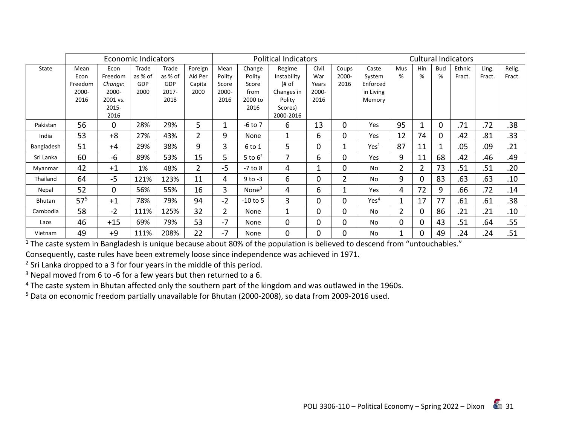|               | Economic Indicators |          |         |          | <b>Political Indicators</b> |                |                   |              |       | <b>Cultural Indicators</b> |                  |                |                |              |        |        |        |
|---------------|---------------------|----------|---------|----------|-----------------------------|----------------|-------------------|--------------|-------|----------------------------|------------------|----------------|----------------|--------------|--------|--------|--------|
| State         | Mean                | Econ     | Trade   | Trade    | Foreign                     | Mean           | Change            | Regime       | Civil | Coups                      | Caste            | <b>Mus</b>     | Hin            | <b>Bud</b>   | Ethnic | Ling.  | Relig. |
|               | Econ                | Freedom  | as % of | as % of  | Aid Per                     | Polity         | Polity            | Instability  | War   | 2000-                      | System           | %              | %              | %            | Fract. | Fract. | Fract. |
|               | Freedom             | Change:  | GDP     | GDP      | Capita                      | Score          | Score             | (# of        | Years | 2016                       | Enforced         |                |                |              |        |        |        |
|               | 2000-               | 2000-    | 2000    | $2017 -$ | 2000                        | 2000-          | from              | Changes in   | 2000- |                            | in Living        |                |                |              |        |        |        |
|               | 2016                | 2001 vs. |         | 2018     |                             | 2016           | 2000 to           | Polity       | 2016  |                            | Memory           |                |                |              |        |        |        |
|               |                     | 2015-    |         |          |                             |                | 2016              | Scores)      |       |                            |                  |                |                |              |        |        |        |
|               |                     | 2016     |         |          |                             |                |                   | 2000-2016    |       |                            |                  |                |                |              |        |        |        |
| Pakistan      | 56                  | $\Omega$ | 28%     | 29%      | 5                           |                | $-6$ to $7$       | 6            | 13    | 0                          | Yes              | 95             |                | 0            | .71    | .72    | .38    |
| India         | 53                  | $+8$     | 27%     | 43%      | 2                           | 9              | None              | $\mathbf{1}$ | 6     | 0                          | Yes              | 12             | 74             | 0            | .42    | .81    | .33    |
| Bangladesh    | 51                  | $+4$     | 29%     | 38%      | 9                           | 3              | 6 to 1            | 5            | 0     | 1                          | Yes <sup>1</sup> | 87             | 11             | $\mathbf{1}$ | .05    | .09    | .21    |
| Sri Lanka     | 60                  | -6       | 89%     | 53%      | 15                          | 5              | 5 to $6^2$        | 7            | 6     | $\Omega$                   | Yes              | 9              | 11             | 68           | .42    | .46    | .49    |
| Myanmar       | 42                  | $+1$     | 1%      | 48%      | $\overline{2}$              | $-5$           | $-7$ to $8$       | 4            |       | $\Omega$                   | <b>No</b>        | $\overline{2}$ | $\overline{2}$ | 73           | .51    | .51    | .20    |
| Thailand      | 64                  | $-5$     | 121%    | 123%     | 11                          | 4              | $9$ to $-3$       | 6            | 0     | $\overline{2}$             | <b>No</b>        | 9              | $\Omega$       | 83           | .63    | .63    | .10    |
| Nepal         | 52                  | $\Omega$ | 56%     | 55%      | 16                          | 3              | None <sup>3</sup> | 4            | 6     | 1                          | Yes              | 4              | 72             | 9            | .66    | .72    | .14    |
| <b>Bhutan</b> | $57^{5}$            | $+1$     | 78%     | 79%      | 94                          | $-2$           | $-10$ to 5        | 3            | 0     | 0                          | Yes <sup>4</sup> | 1              | 17             | 77           | .61    | .61    | .38    |
| Cambodia      | 58                  | $-2$     | 111%    | 125%     | 32                          | $\overline{2}$ | None              | 1            | 0     | 0                          | <b>No</b>        | 2              | $\Omega$       | 86           | .21    | .21    | .10    |
| Laos          | 46                  | $+15$    | 69%     | 79%      | 53                          | $-7$           | None              | 0            | 0     | 0                          | <b>No</b>        | 0              | $\Omega$       | 43           | .51    | .64    | .55    |
| Vietnam       | 49                  | $+9$     | 111%    | 208%     | 22                          | $-7$           | None              | $\mathbf 0$  | 0     | 0                          | No               | 1              | $\Omega$       | 49           | .24    | .24    | .51    |

 $1$  The caste system in Bangladesh is unique because about 80% of the population is believed to descend from "untouchables."

Consequently, caste rules have been extremely loose since independence was achieved in 1971.

 $2$  Sri Lanka dropped to a 3 for four years in the middle of this period.

 $3$  Nepal moved from 6 to -6 for a few years but then returned to a 6.

<sup>4</sup> The caste system in Bhutan affected only the southern part of the kingdom and was outlawed in the 1960s.

<sup>5</sup> Data on economic freedom partially unavailable for Bhutan (2000-2008), so data from 2009-2016 used.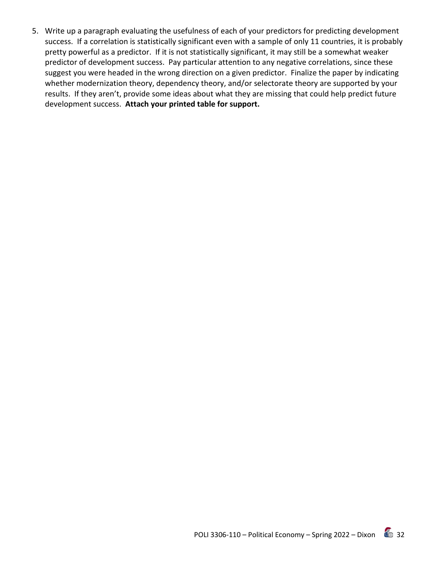5. Write up a paragraph evaluating the usefulness of each of your predictors for predicting development success. If a correlation is statistically significant even with a sample of only 11 countries, it is probably pretty powerful as a predictor. If it is not statistically significant, it may still be a somewhat weaker predictor of development success. Pay particular attention to any negative correlations, since these suggest you were headed in the wrong direction on a given predictor. Finalize the paper by indicating whether modernization theory, dependency theory, and/or selectorate theory are supported by your results. If they aren't, provide some ideas about what they are missing that could help predict future development success. **Attach your printed table for support.**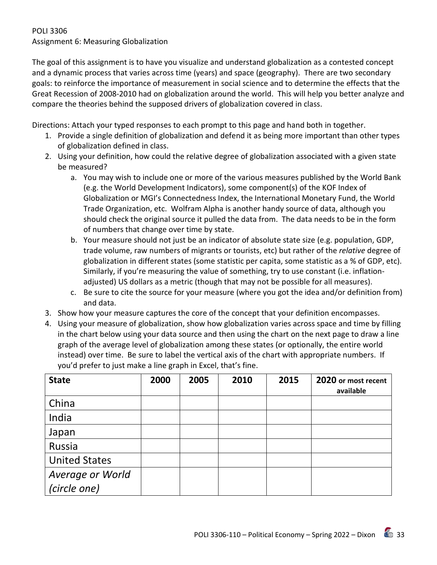## POLI 3306 Assignment 6: Measuring Globalization

The goal of this assignment is to have you visualize and understand globalization as a contested concept and a dynamic process that varies across time (years) and space (geography). There are two secondary goals: to reinforce the importance of measurement in social science and to determine the effects that the Great Recession of 2008-2010 had on globalization around the world. This will help you better analyze and compare the theories behind the supposed drivers of globalization covered in class.

Directions: Attach your typed responses to each prompt to this page and hand both in together.

- 1. Provide a single definition of globalization and defend it as being more important than other types of globalization defined in class.
- 2. Using your definition, how could the relative degree of globalization associated with a given state be measured?
	- a. You may wish to include one or more of the various measures published by the World Bank (e.g. the World Development Indicators), some component(s) of the KOF Index of Globalization or MGI's Connectedness Index, the International Monetary Fund, the World Trade Organization, etc. Wolfram Alpha is another handy source of data, although you should check the original source it pulled the data from. The data needs to be in the form of numbers that change over time by state.
	- b. Your measure should not just be an indicator of absolute state size (e.g. population, GDP, trade volume, raw numbers of migrants or tourists, etc) but rather of the *relative* degree of globalization in different states (some statistic per capita, some statistic as a % of GDP, etc). Similarly, if you're measuring the value of something, try to use constant (i.e. inflationadjusted) US dollars as a metric (though that may not be possible for all measures).
	- c. Be sure to cite the source for your measure (where you got the idea and/or definition from) and data.
- 3. Show how your measure captures the core of the concept that your definition encompasses.
- 4. Using your measure of globalization, show how globalization varies across space and time by filling in the chart below using your data source and then using the chart on the next page to draw a line graph of the average level of globalization among these states (or optionally, the entire world instead) over time. Be sure to label the vertical axis of the chart with appropriate numbers. If you'd prefer to just make a line graph in Excel, that's fine.

| <b>State</b>         | 2000 | 2005 | 2010 | 2015 | 2020 or most recent<br>available |
|----------------------|------|------|------|------|----------------------------------|
| China                |      |      |      |      |                                  |
| India                |      |      |      |      |                                  |
| Japan                |      |      |      |      |                                  |
| Russia               |      |      |      |      |                                  |
| <b>United States</b> |      |      |      |      |                                  |
| Average or World     |      |      |      |      |                                  |
| (circle one)         |      |      |      |      |                                  |